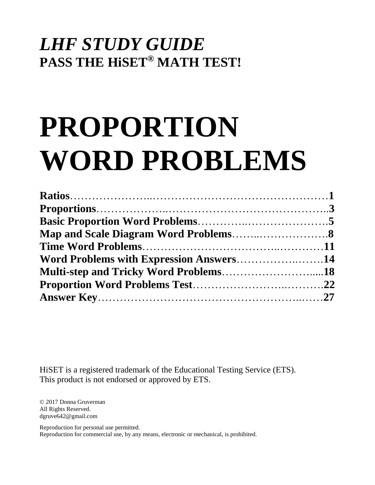# *LHF STUDY GUIDE*  **PASS THE HiSET® MATH TEST!**

# **PROPORTION WORD PROBLEMS**

| Word Problems with Expression Answers14 |  |
|-----------------------------------------|--|
|                                         |  |
|                                         |  |
|                                         |  |

HiSET is a registered trademark of the Educational Testing Service (ETS). This product is not endorsed or approved by ETS.

© 2017 Donna Gruverman All Rights Reserved. dgruve642@gmail.com

Reproduction for personal use permitted. Reproduction for commercial use, by any means, electronic or mechanical, is prohibited.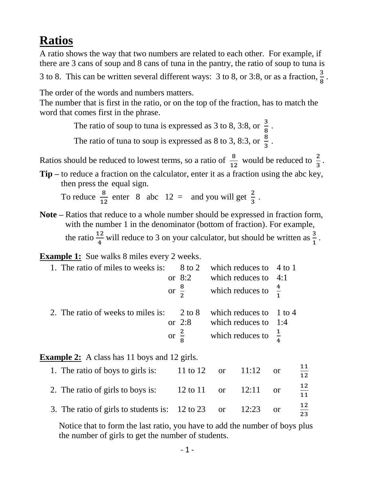# **Ratios**

A ratio shows the way that two numbers are related to each other. For example, if there are 3 cans of soup and 8 cans of tuna in the pantry, the ratio of soup to tuna is

3 to 8. This can be written several different ways: 3 to 8, or 3:8, or as a fraction,  $\frac{3}{8}$ .

The order of the words and numbers matters.

The number that is first in the ratio, or on the top of the fraction, has to match the word that comes first in the phrase.

The ratio of soup to tuna is expressed as 3 to 8, 3:8, or  $\frac{3}{8}$ .

The ratio of tuna to soup is expressed as 8 to 3, 8:3, or  $\frac{8}{3}$ .

Ratios should be reduced to lowest terms, so a ratio of  $\frac{8}{12}$  would be reduced to  $\frac{2}{3}$  $\frac{2}{3}$ .

**Tip –** to reduce a fraction on the calculator, enter it as a fraction using the abc key, then press the equal sign.

To reduce  $\frac{8}{12}$  enter 8 abc 12 = and you will get  $\frac{2}{3}$ .

**Note –** Ratios that reduce to a whole number should be expressed in fraction form, with the number 1 in the denominator (bottom of fraction). For example, the ratio  $\frac{12}{4}$  will reduce to 3 on your calculator, but should be written as  $\frac{3}{1}$ .

**Example 1:** Sue walks 8 miles every 2 weeks.

| 1. The ratio of miles to weeks is: 8 to 2 which reduces to 4 to 1 |                              |                                                          |  |
|-------------------------------------------------------------------|------------------------------|----------------------------------------------------------|--|
|                                                                   | or $8:2$                     | which reduces to $4:1$                                   |  |
|                                                                   |                              | or $\frac{8}{2}$ which reduces to $\frac{4}{1}$          |  |
| 2. The ratio of weeks to miles is: 2 to 8 which reduces to 1 to 4 | or $2:8$<br>or $\frac{2}{8}$ | which reduces to $1:4$<br>which reduces to $\frac{1}{4}$ |  |

**Example 2:** A class has 11 boys and 12 girls.

| 1. The ratio of boys to girls is:                             | 11 to 12 or 11:12 or |  |          | 12.      |
|---------------------------------------------------------------|----------------------|--|----------|----------|
| 2. The ratio of girls to boys is:                             | 12 to 11 or 12:11    |  | $\alpha$ | 12<br>11 |
| 3. The ratio of girls to students is: $12$ to $23$ or $12:23$ |                      |  | $\alpha$ | 12<br>23 |

 Notice that to form the last ratio, you have to add the number of boys plus the number of girls to get the number of students.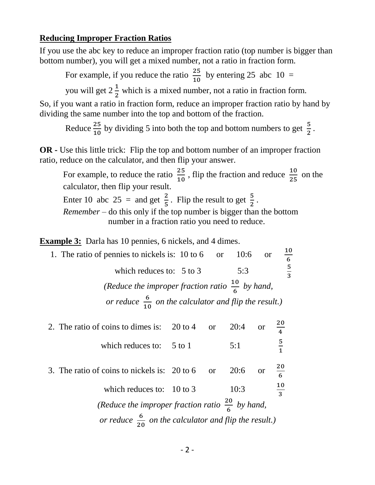#### **Reducing Improper Fraction Ratios**

If you use the abc key to reduce an improper fraction ratio (top number is bigger than bottom number), you will get a mixed number, not a ratio in fraction form.

For example, if you reduce the ratio  $\frac{25}{10}$  by entering 25 abc 10 =

you will get  $2\frac{1}{2}$  which is a mixed number, not a ratio in fraction form.

So, if you want a ratio in fraction form, reduce an improper fraction ratio by hand by dividing the same number into the top and bottom of the fraction.

Reduce  $\frac{25}{10}$  by dividing 5 into both the top and bottom numbers to get  $\frac{5}{2}$ .

**OR -** Use this little trick: Flip the top and bottom number of an improper fraction ratio, reduce on the calculator, and then flip your answer.

For example, to reduce the ratio  $\frac{25}{10}$ , flip the fraction and reduce  $\frac{10}{25}$  on the calculator, then flip your result.

Enter 10 abc 25 = and get  $\frac{2}{5}$ . Flip the result to get  $\frac{5}{2}$ .

 *Remember* – do this only if the top number is bigger than the bottom number in a fraction ratio you need to reduce.

**Example 3:** Darla has 10 pennies, 6 nickels, and 4 dimes.

| 1. The ratio of pennies to nickels is: $10$ to $6$ or $10:6$<br><b>or</b> | $\frac{10}{ }$<br>6 |
|---------------------------------------------------------------------------|---------------------|
| which reduces to: $5$ to 3<br>5:3                                         | 5<br>$\overline{3}$ |
| (Reduce the improper fraction ratio $\frac{10}{6}$ by hand,               |                     |
| or reduce $\frac{6}{10}$ on the calculator and flip the result.)          |                     |
|                                                                           |                     |

2. The ratio of coins to dimes is:  $20 \text{ to } 4$  or 20 4 which reduces to:  $5 \text{ to } 1$   $5:1$ 5 1 3. The ratio of coins to nickels is:  $20 \text{ to } 6$  or 20 6 which reduces to:  $10$  to 3  $10:3$ 10  $\frac{10}{3}$ *(Reduce the improper fraction ratio*  $\frac{20}{6}$  *by hand, or reduce*  $\frac{6}{20}$  *on the calculator and flip the result.*)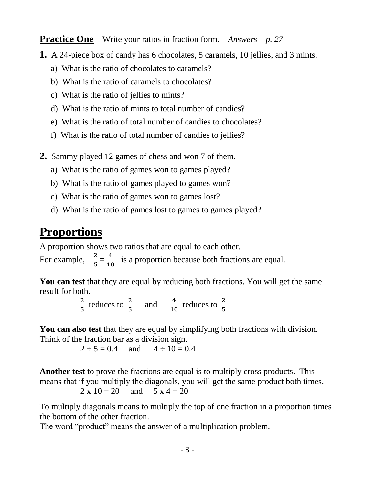**Practice One** – Write your ratios in fraction form. *Answers – p. 27*

- **1.** A 24-piece box of candy has 6 chocolates, 5 caramels, 10 jellies, and 3 mints.
	- a) What is the ratio of chocolates to caramels?
	- b) What is the ratio of caramels to chocolates?
	- c) What is the ratio of jellies to mints?
	- d) What is the ratio of mints to total number of candies?
	- e) What is the ratio of total number of candies to chocolates?
	- f) What is the ratio of total number of candies to jellies?
- **2.** Sammy played 12 games of chess and won 7 of them.
	- a) What is the ratio of games won to games played?
	- b) What is the ratio of games played to games won?
	- c) What is the ratio of games won to games lost?
	- d) What is the ratio of games lost to games to games played?

# **Proportions**

A proportion shows two ratios that are equal to each other.

For example,  $\frac{2}{5}$  $\frac{2}{5} = \frac{4}{10}$  $\frac{4}{10}$  is a proportion because both fractions are equal.

**You can test** that they are equal by reducing both fractions. You will get the same result for both.

2  $\frac{2}{5}$  reduces to  $\frac{2}{5}$  and  $\frac{4}{10}$  reduces to  $\frac{2}{5}$ 

**You can also test** that they are equal by simplifying both fractions with division. Think of the fraction bar as a division sign.

 $2 \div 5 = 0.4$  and  $4 \div 10 = 0.4$ 

**Another test** to prove the fractions are equal is to multiply cross products. This means that if you multiply the diagonals, you will get the same product both times.

$$
2 \times 10 = 20
$$
 and  $5 \times 4 = 20$ 

To multiply diagonals means to multiply the top of one fraction in a proportion times the bottom of the other fraction.

The word "product" means the answer of a multiplication problem.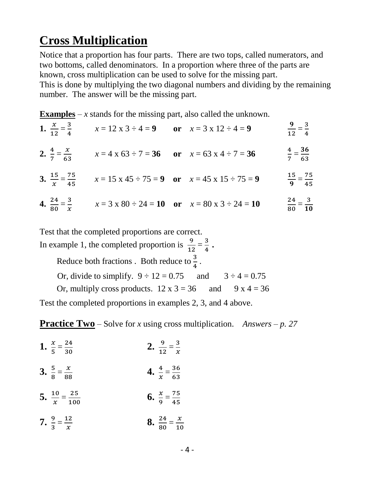# **Cross Multiplication**

Notice that a proportion has four parts. There are two tops, called numerators, and two bottoms, called denominators. In a proportion where three of the parts are known, cross multiplication can be used to solve for the missing part. This is done by multiplying the two diagonal numbers and dividing by the remaining number. The answer will be the missing part.

**Examples** – *x* stands for the missing part, also called the unknown.

| 1. $\frac{x}{12} = \frac{3}{4}$ | $x = 12 \times 3 \div 4 = 9$ or $x = 3 \times 12 \div 4 = 9$                                       |                                                                                  | $\frac{9}{12} = \frac{3}{4}$  |
|---------------------------------|----------------------------------------------------------------------------------------------------|----------------------------------------------------------------------------------|-------------------------------|
|                                 | 2. $\frac{4}{7} = \frac{x}{63}$ $x = 4 \times 63 \div 7 = 36$ or $x = 63 \times 4 \div 7 = 36$     |                                                                                  | $\frac{4}{7} = \frac{36}{63}$ |
|                                 | 3. $\frac{15}{x} = \frac{75}{45}$ $x = 15 \times 45 \div 75 = 9$ or $x = 45 \times 15 \div 75 = 9$ |                                                                                  | $rac{15}{9} = \frac{75}{45}$  |
|                                 |                                                                                                    | $4^{24}$ 3 $2^{100}$ $2^{100}$ $2^{11}$ $10^{100}$ $2^{100}$ $2^{101}$ $2^{101}$ | 24 3                          |

4.  $\frac{24}{20}$  $\frac{24}{80} = \frac{3}{x}$  $\frac{3}{x}$   $x = 3 \times 80 \div 24 = 10$  or  $x = 80 \times 3 \div 24 = 10$  $\frac{24}{80} = \frac{3}{10}$ 

Test that the completed proportions are correct.

In example 1, the completed proportion is  $\frac{9}{12} = \frac{3}{4}$  $\frac{3}{4}$  . Reduce both fractions . Both reduce to  $\frac{3}{4}$ . Or, divide to simplify.  $9 \div 12 = 0.75$  and  $3 \div 4 = 0.75$ Or, multiply cross products.  $12 \times 3 = 36$  and  $9 \times 4 = 36$ Test the completed proportions in examples 2, 3, and 4 above.

**Practice Two** – Solve for *x* using cross multiplication. *Answers – p. 27* 

- **1.**  $\frac{x}{5}$  $\frac{x}{5} = \frac{24}{30}$ 30 **2.**  $\frac{9}{11}$  $\frac{9}{12} = \frac{3}{x}$  $\frac{3}{x}$ 3.  $\frac{5}{9}$  $\frac{5}{8} = \frac{x}{88}$ 88 **4.**  $\frac{4}{x}$  $\frac{4}{x} = \frac{36}{63}$  $\frac{56}{63}$ 5.  $\frac{10}{x}$  $\frac{10}{x} = \frac{25}{100}$ 100 **6.**  $\frac{x}{2}$  $\frac{x}{9} = \frac{75}{45}$
- $7. \frac{9}{2}$  $\frac{9}{3} = \frac{12}{x}$  $\mathcal{X}$ **8.**  $\frac{24}{20}$  $\frac{24}{80} = \frac{x}{10}$  $\frac{x}{10}$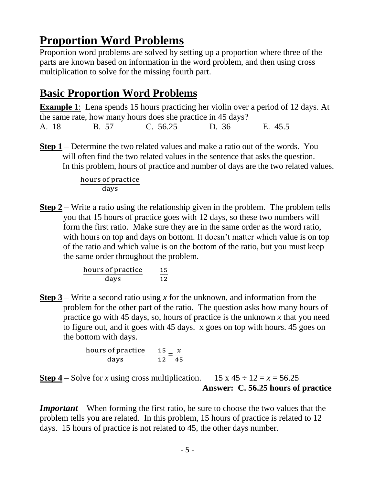# **Proportion Word Problems**

Proportion word problems are solved by setting up a proportion where three of the parts are known based on information in the word problem, and then using cross multiplication to solve for the missing fourth part.

# **Basic Proportion Word Problems**

**Example 1**: Lena spends 15 hours practicing her violin over a period of 12 days. At the same rate, how many hours does she practice in 45 days? A. 18 B. 57 C. 56.25 D. 36 E. 45.5

**Step 1** – Determine the two related values and make a ratio out of the words. You will often find the two related values in the sentence that asks the question. In this problem, hours of practice and number of days are the two related values.

> hours of practice days

**Step 2** – Write a ratio using the relationship given in the problem. The problem tells you that 15 hours of practice goes with 12 days, so these two numbers will form the first ratio. Make sure they are in the same order as the word ratio, with hours on top and days on bottom. It doesn't matter which value is on top of the ratio and which value is on the bottom of the ratio, but you must keep the same order throughout the problem.

> hours of practice days 15  $\frac{15}{12}$

**Step 3** – Write a second ratio using *x* for the unknown, and information from the problem for the other part of the ratio. The question asks how many hours of practice go with 45 days, so, hours of practice is the unknown *x* that you need to figure out, and it goes with 45 days. x goes on top with hours. 45 goes on the bottom with days.

$$
\frac{\text{hours of practice}}{\text{days}} \qquad \frac{15}{12} = \frac{x}{45}
$$

**Step 4** – Solve for *x* using cross multiplication. 15 x 45  $\div$  12 = *x* = 56.25 **Answer: C. 56.25 hours of practice**

*Important* – When forming the first ratio, be sure to choose the two values that the problem tells you are related. In this problem, 15 hours of practice is related to 12 days. 15 hours of practice is not related to 45, the other days number.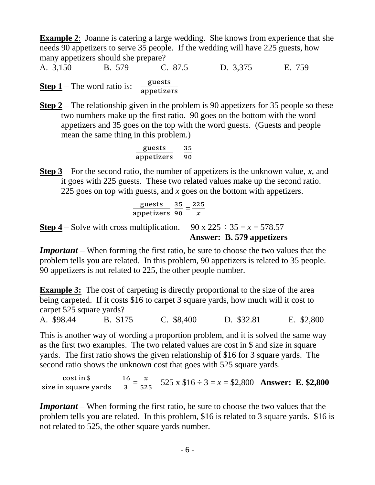**Example 2**: Joanne is catering a large wedding. She knows from experience that she needs 90 appetizers to serve 35 people. If the wedding will have 225 guests, how many appetizers should she prepare?

A. 3,150 B. 579 C. 87.5 D. 3,375 E. 759 **Step 1** – The word ratio is:  $\frac{\text{guestos}}{\text{spatial}}$ appetizers

**Step 2** – The relationship given in the problem is 90 appetizers for 35 people so these two numbers make up the first ratio. 90 goes on the bottom with the word appetizers and 35 goes on the top with the word guests. (Guests and people mean the same thing in this problem.)

| guess      | $35$ |
|------------|------|
| appetizers | $90$ |

**Step 3** – For the second ratio, the number of appetizers is the unknown value, *x*, and it goes with 225 guests. These two related values make up the second ratio. 225 goes on top with guests, and *x* goes on the bottom with appetizers.

$$
\frac{\text{guestos}}{\text{appetizers}} \frac{35}{90} = \frac{225}{x}
$$

**Step 4** – Solve with cross multiplication. 90 x  $225 \div 35 = x = 578.57$ **Answer: B. 579 appetizers**

*Important* – When forming the first ratio, be sure to choose the two values that the problem tells you are related. In this problem, 90 appetizers is related to 35 people. 90 appetizers is not related to 225, the other people number.

**Example 3:** The cost of carpeting is directly proportional to the size of the area being carpeted. If it costs \$16 to carpet 3 square yards, how much will it cost to carpet 525 square yards?

A. \$98.44 B. \$175 C. \$8,400 D. \$32.81 E. \$2,800

This is another way of wording a proportion problem, and it is solved the same way as the first two examples. The two related values are cost in \$ and size in square yards. The first ratio shows the given relationship of \$16 for 3 square yards. The second ratio shows the unknown cost that goes with 525 square yards.

cost in \$ size in square yards 16  $\frac{16}{3} = \frac{x}{525}$  525 x \$16 ÷ 3 = x = \$2,800 **Answer: E.** \$2,800

*Important* – When forming the first ratio, be sure to choose the two values that the problem tells you are related. In this problem, \$16 is related to 3 square yards. \$16 is not related to 525, the other square yards number.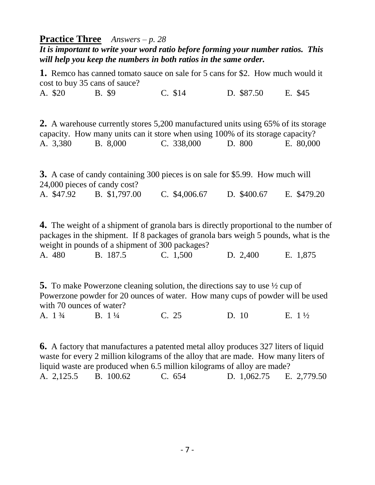#### **Practice Three** *Answers – p. 28*

*It is important to write your word ratio before forming your number ratios. This will help you keep the numbers in both ratios in the same order.*

**1.** Remco has canned tomato sauce on sale for 5 cans for \$2. How much would it cost to buy 35 cans of sauce?

A. \$20 B. \$9 C. \$14 D. \$87.50 E. \$45

**2.** A warehouse currently stores 5,200 manufactured units using 65% of its storage capacity. How many units can it store when using 100% of its storage capacity? A. 3,380 B. 8,000 C. 338,000 D. 800 E. 80,000

**3.** A case of candy containing 300 pieces is on sale for \$5.99. How much will 24,000 pieces of candy cost? A. \$47.92 B. \$1,797.00 C. \$4,006.67 D. \$400.67 E. \$479.20

**4.** The weight of a shipment of granola bars is directly proportional to the number of packages in the shipment. If 8 packages of granola bars weigh 5 pounds, what is the weight in pounds of a shipment of 300 packages?

| B. 187.5<br>C. 1,500<br>A. 480 | E. 1,875<br>D. 2,400 |  |
|--------------------------------|----------------------|--|
|--------------------------------|----------------------|--|

**5.** To make Powerzone cleaning solution, the directions say to use ½ cup of Powerzone powder for 20 ounces of water. How many cups of powder will be used with 70 ounces of water?

A. 1 <sup>3</sup>/<sub>4</sub> B. 1<sup>1</sup>/<sub>4</sub> C. 25 D. 10 E. 1<sup>1</sup>/<sub>2</sub>

**6.** A factory that manufactures a patented metal alloy produces 327 liters of liquid waste for every 2 million kilograms of the alloy that are made. How many liters of liquid waste are produced when 6.5 million kilograms of alloy are made? A. 2,125.5 B. 100.62 C. 654 D. 1,062.75 E. 2,779.50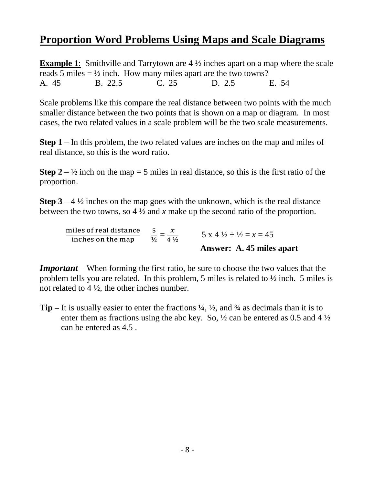## **Proportion Word Problems Using Maps and Scale Diagrams**

**Example 1:** Smithville and Tarrytown are 4  $\frac{1}{2}$  inches apart on a map where the scale reads 5 miles  $= \frac{1}{2}$  inch. How many miles apart are the two towns? A. 45 B. 22.5 C. 25 D. 2.5 E. 54

Scale problems like this compare the real distance between two points with the much smaller distance between the two points that is shown on a map or diagram. In most cases, the two related values in a scale problem will be the two scale measurements.

**Step 1** – In this problem, the two related values are inches on the map and miles of real distance, so this is the word ratio.

**Step**  $2 - \frac{1}{2}$  inch on the map = 5 miles in real distance, so this is the first ratio of the proportion.

**Step 3** – 4  $\frac{1}{2}$  inches on the map goes with the unknown, which is the real distance between the two towns, so 4 ½ and *x* make up the second ratio of the proportion.

miles of real distance iles of real distance  $\frac{5}{\frac{1}{2}}$  $rac{5}{\frac{1}{2}} = \frac{x}{4^{\frac{1}{2}}}$  $\frac{x}{4 \frac{1}{2}}$  5 x 4  $\frac{1}{2} \div \frac{1}{2} = x = 45$ **Answer: A. 45 miles apart**

*Important* – When forming the first ratio, be sure to choose the two values that the problem tells you are related. In this problem, 5 miles is related to ½ inch. 5 miles is not related to  $4\frac{1}{2}$ , the other inches number.

**Tip –** It is usually easier to enter the fractions ¼, ½, and ¾ as decimals than it is to enter them as fractions using the abc key. So,  $\frac{1}{2}$  can be entered as 0.5 and 4  $\frac{1}{2}$ can be entered as 4.5 .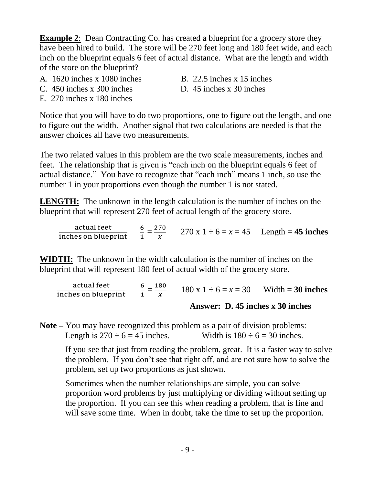**Example 2:** Dean Contracting Co. has created a blueprint for a grocery store they have been hired to build. The store will be 270 feet long and 180 feet wide, and each inch on the blueprint equals 6 feet of actual distance. What are the length and width of the store on the blueprint?

- A.  $1620$  inches x  $1080$  inches B.  $22.5$  inches x 15 inches
- C.  $450$  inches x 300 inches  $D. 45$  inches x 30 inches
- E. 270 inches x 180 inches
- 
- 

Notice that you will have to do two proportions, one to figure out the length, and one to figure out the width. Another signal that two calculations are needed is that the answer choices all have two measurements.

The two related values in this problem are the two scale measurements, inches and feet. The relationship that is given is "each inch on the blueprint equals 6 feet of actual distance." You have to recognize that "each inch" means 1 inch, so use the number 1 in your proportions even though the number 1 is not stated.

**LENGTH:** The unknown in the length calculation is the number of inches on the blueprint that will represent 270 feet of actual length of the grocery store.

actual feet inches on blueprint 6  $\frac{6}{1} = \frac{270}{x}$  $\frac{70}{x}$  270 x 1 ÷ 6 = x = 45 Length = **45 inches** 

**WIDTH:** The unknown in the width calculation is the number of inches on the blueprint that will represent 180 feet of actual width of the grocery store.

actual feet inches on blueprint 6  $\frac{6}{1} = \frac{180}{x}$  $\frac{80}{x}$  180 x 1 ÷ 6 = x = 30 Width = **30 inches Answer: D. 45 inches x 30 inches** 

**Note –** You may have recognized this problem as a pair of division problems: Length is  $270 \div 6 = 45$  inches. Width is  $180 \div 6 = 30$  inches.

 If you see that just from reading the problem, great. It is a faster way to solve the problem. If you don't see that right off, and are not sure how to solve the problem, set up two proportions as just shown.

 Sometimes when the number relationships are simple, you can solve proportion word problems by just multiplying or dividing without setting up the proportion. If you can see this when reading a problem, that is fine and will save some time. When in doubt, take the time to set up the proportion.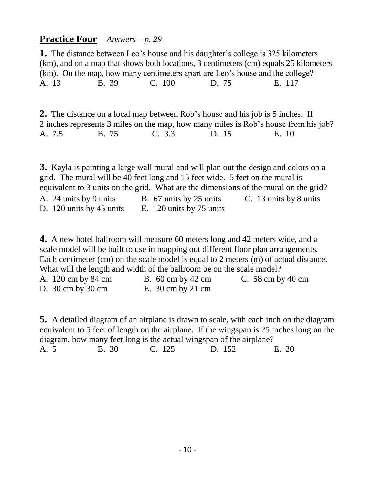#### **Practice Four** *Answers – p. 29*

**1.** The distance between Leo's house and his daughter's college is 325 kilometers (km), and on a map that shows both locations, 3 centimeters (cm) equals 25 kilometers (km). On the map, how many centimeters apart are Leo's house and the college? A. 13 B. 39 C. 100 D. 75 E. 117

**2.** The distance on a local map between Rob's house and his job is 5 inches. If 2 inches represents 3 miles on the map, how many miles is Rob's house from his job? A. 7.5 B. 75 C. 3.3 D. 15 E. 10

**3.** Kayla is painting a large wall mural and will plan out the design and colors on a grid. The mural will be 40 feet long and 15 feet wide. 5 feet on the mural is equivalent to 3 units on the grid. What are the dimensions of the mural on the grid? A. 24 units by 9 units B. 67 units by 25 units C. 13 units by 8 units D. 120 units by 45 units E. 120 units by 75 units

**4.** A new hotel ballroom will measure 60 meters long and 42 meters wide, and a scale model will be built to use in mapping out different floor plan arrangements. Each centimeter (cm) on the scale model is equal to 2 meters (m) of actual distance. What will the length and width of the ballroom be on the scale model?

| A. 120 cm by 84 cm                    | B. $60 \text{ cm}$ by $42 \text{ cm}$ | C. 58 cm by 40 cm |
|---------------------------------------|---------------------------------------|-------------------|
| D. $30 \text{ cm}$ by $30 \text{ cm}$ | E. $30 \text{ cm}$ by $21 \text{ cm}$ |                   |

**5.** A detailed diagram of an airplane is drawn to scale, with each inch on the diagram equivalent to 5 feet of length on the airplane. If the wingspan is 25 inches long on the diagram, how many feet long is the actual wingspan of the airplane?

A. 5 B. 30 C. 125 D. 152 E. 20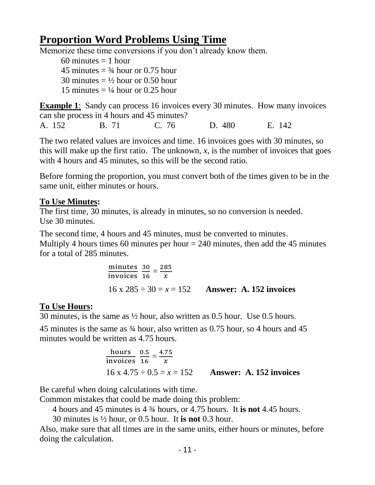## **Proportion Word Problems Using Time**

Memorize these time conversions if you don't already know them.

60 minutes  $= 1$  hour 45 minutes  $=$   $\frac{3}{4}$  hour or 0.75 hour 30 minutes  $= \frac{1}{2}$  hour or 0.50 hour 15 minutes  $= \frac{1}{4}$  hour or 0.25 hour

**Example 1**: Sandy can process 16 invoices every 30 minutes. How many invoices can she process in 4 hours and 45 minutes?

A. 152 B. 71 C. 76 D. 480 E. 142

The two related values are invoices and time. 16 invoices goes with 30 minutes, so this will make up the first ratio. The unknown,  $x$ , is the number of invoices that goes with 4 hours and 45 minutes, so this will be the second ratio.

Before forming the proportion, you must convert both of the times given to be in the same unit, either minutes or hours.

#### **To Use Minutes:**

The first time, 30 minutes, is already in minutes, so no conversion is needed. Use 30 minutes.

The second time, 4 hours and 45 minutes, must be converted to minutes. Multiply 4 hours times 60 minutes per hour  $= 240$  minutes, then add the 45 minutes for a total of 285 minutes.

$$
\frac{\text{minutes}}{\text{invoices}} \frac{30}{16} = \frac{285}{x}
$$
  
16 x 285 ÷ 30 = x = 152 **Answer: A. 152** invoices

#### **To Use Hours:**

30 minutes, is the same as ½ hour, also written as 0.5 hour. Use 0.5 hours.

45 minutes is the same as ¾ hour, also written as 0.75 hour, so 4 hours and 45 minutes would be written as 4.75 hours.

hours  
invoices 
$$
\frac{0.5}{16} = \frac{4.75}{x}
$$
  
16 x 4.75 ÷ 0.5 = x = 152 **Answer: A. 152** invoices

Be careful when doing calculations with time.

Common mistakes that could be made doing this problem:

4 hours and 45 minutes is 4 ¾ hours, or 4.75 hours. It **is not** 4.45 hours.

30 minutes is ½ hour, or 0.5 hour. It **is not** 0.3 hour.

Also, make sure that all times are in the same units, either hours or minutes, before doing the calculation.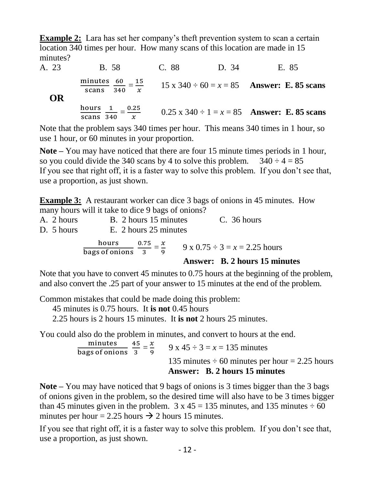**Example 2:** Lara has set her company's theft prevention system to scan a certain location 340 times per hour. How many scans of this location are made in 15 minutes?

A. 23B. 58 C. 88 D. 34 E. 85 minutes ninutes 60<br>scans 340  $\frac{60}{340} = \frac{15}{x}$  $\frac{15}{x}$  15 x 340 ÷ 60 = x = 85 **Answer: E. 85 scans OR**  hours hours 1<br>scans 34  $\frac{1}{340} = \frac{0.25}{x}$  $\frac{0.25}{x}$  0.25 x 340 ÷ 1 = x = 85 **Answer: E. 85 scans** 

Note that the problem says 340 times per hour. This means 340 times in 1 hour, so use 1 hour, or 60 minutes in your proportion.

**Note –** You may have noticed that there are four 15 minute times periods in 1 hour, so you could divide the 340 scans by 4 to solve this problem.  $340 \div 4 = 85$ If you see that right off, it is a faster way to solve this problem. If you don't see that, use a proportion, as just shown.

**Example 3:** A restaurant worker can dice 3 bags of onions in 45 minutes. How many hours will it take to dice 9 bags of onions?

|            |                                      |  | <b>Answer: B. 2 hours 15 minutes</b>    |
|------------|--------------------------------------|--|-----------------------------------------|
|            | hours $0.75 - x$<br>bags of onions 3 |  | $9 \times 0.75 \div 3 = x = 2.25$ hours |
| D. 5 hours | E. 2 hours 25 minutes                |  |                                         |
| A. 2 hours | B. 2 hours 15 minutes                |  | $C.$ 36 hours                           |

Note that you have to convert 45 minutes to 0.75 hours at the beginning of the problem, and also convert the .25 part of your answer to 15 minutes at the end of the problem.

Common mistakes that could be made doing this problem:

45 minutes is 0.75 hours. It **is not** 0.45 hours

2.25 hours is 2 hours 15 minutes. It **is not** 2 hours 25 minutes.

You could also do the problem in minutes, and convert to hours at the end.

minutes 45<br>bags of onions 3  $\frac{15}{3} = \frac{x}{9}$  $\frac{x}{9}$  9 x 45 ÷ 3 = x = 135 minutes 135 minutes  $\div$  60 minutes per hour = 2.25 hours  **Answer: B. 2 hours 15 minutes**

**Note –** You may have noticed that 9 bags of onions is 3 times bigger than the 3 bags of onions given in the problem, so the desired time will also have to be 3 times bigger than 45 minutes given in the problem.  $3 \times 45 = 135$  minutes, and 135 minutes  $\div 60$ minutes per hour = 2.25 hours  $\rightarrow$  2 hours 15 minutes.

If you see that right off, it is a faster way to solve this problem. If you don't see that, use a proportion, as just shown.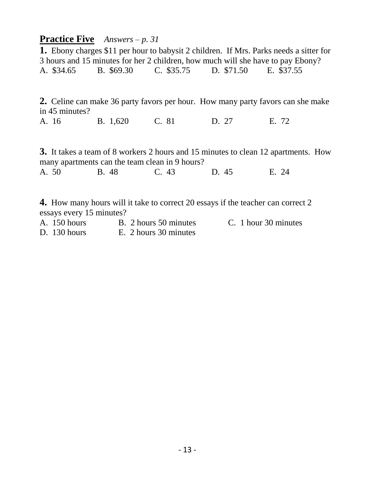#### **Practice Five** *Answers – p. 31*

**1.** Ebony charges \$11 per hour to babysit 2 children. If Mrs. Parks needs a sitter for 3 hours and 15 minutes for her 2 children, how much will she have to pay Ebony? A. \$34.65 B. \$69.30 C. \$35.75 D. \$71.50 E. \$37.55

**2.** Celine can make 36 party favors per hour. How many party favors can she make in 45 minutes?

A. 16 B. 1,620 C. 81 D. 27 E. 72

**3.** It takes a team of 8 workers 2 hours and 15 minutes to clean 12 apartments. How many apartments can the team clean in 9 hours? A. 50 B. 48 C. 43 D. 45 E. 24

**4.** How many hours will it take to correct 20 essays if the teacher can correct 2 essays every 15 minutes?

A. 150 hours B. 2 hours 50 minutes C. 1 hour 30 minutes D. 130 hours E. 2 hours 30 minutes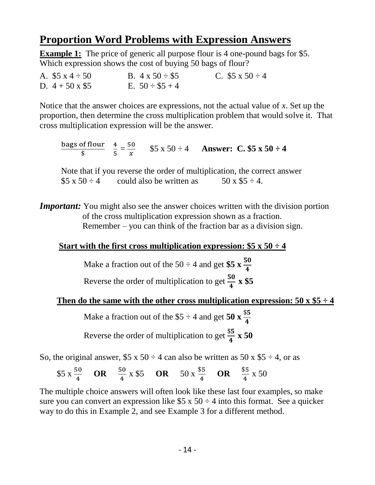## **Proportion Word Problems with Expression Answers**

**Example 1:** The price of generic all purpose flour is 4 one-pound bags for \$5. Which expression shows the cost of buying 50 bags of flour?

A.  $$5 \times 4 \div 50$  B.  $4 \times 50 \div $5$  C.  $$5 \times 50 \div 4$ D.  $4 + 50 \times $5$  E.  $50 \div $5 + 4$ 

Notice that the answer choices are expressions, not the actual value of *x*. Set up the proportion, then determine the cross multiplication problem that would solve it. That cross multiplication expression will be the answer.

bags of flour  $\frac{6}{3}$   $\frac{6}{5}$   $\frac{4}{5}$  $\frac{4}{5} = \frac{50}{x}$  $\frac{50}{x}$  \$5 x 50 ÷ 4 **Answer: C. \$5 x 50 ÷ 4** 

 Note that if you reverse the order of multiplication, the correct answer  $$5 \times 50 \div 4$  could also be written as  $50 \times 55 \div 4$ .

*Important:* You might also see the answer choices written with the division portion of the cross multiplication expression shown as a fraction. Remember – you can think of the fraction bar as a division sign.

#### **Start with the first cross multiplication expression:**  $$5 \times 50 \div 4$$

Make a fraction out of the 50  $\div$  4 and get \$5  $\frac{x}{4}$  $\frac{30}{4}$ Reverse the order of multiplication to get  $\frac{50}{4} \times $5$ 

#### **Then do the same with the other cross multiplication expression:**  $50 \times $5 \div 4$

Make a fraction out of the  $$5 \div 4$  and get 50 **x**  $\frac{$5}{4}$  $\frac{1}{4}$ Reverse the order of multiplication to get  $\frac{$5}{$4}$  **x 50** 

So, the original answer,  $$5 \times 50 \div 4$  can also be written as  $50 \times $5 \div 4$ , or as

\$5 x  $\frac{50}{4}$  **OR**  $\frac{50}{4}$  $rac{50}{4} \times $5$  **OR**  $50 \times \frac{$5}{4}$  $\frac{$5}{4}$  **OR**  $\frac{$5}{4}$  $\frac{55}{4} \times 50$ 

The multiple choice answers will often look like these last four examples, so make sure you can convert an expression like  $$5 \times 50 \div 4$  into this format. See a quicker way to do this in Example 2, and see Example 3 for a different method.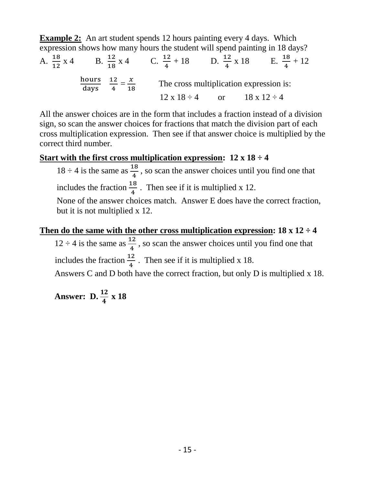**Example 2:** An art student spends 12 hours painting every 4 days. Which expression shows how many hours the student will spend painting in 18 days?

A.  $\frac{18}{12} \times 4$  B.  $\frac{12}{18}$  $\frac{12}{18}$  x 4 C.  $\frac{12}{4}$  $\frac{12}{4} + 18$  D.  $\frac{12}{4} \times 18$  E.  $\frac{18}{4}$  $\frac{18}{4} + 12$ hours days 12  $\frac{12}{4} = \frac{x}{18}$  $\frac{x}{18}$  The cross multiplication expression is:  $12 \times 18 \div 4$  or  $18 \times 12 \div 4$ 

All the answer choices are in the form that includes a fraction instead of a division sign, so scan the answer choices for fractions that match the division part of each cross multiplication expression. Then see if that answer choice is multiplied by the correct third number.

#### **Start with the first cross multiplication expression: 12 x 18 ÷ 4**

 $18 \div 4$  is the same as  $\frac{18}{4}$ , so scan the answer choices until you find one that includes the fraction  $\frac{18}{4}$ . Then see if it is multiplied x 12.

 None of the answer choices match. Answer E does have the correct fraction, but it is not multiplied x 12.

#### **Then do the same with the other cross multiplication expression: 18 x 12 ÷ 4**

 $12 \div 4$  is the same as  $\frac{12}{4}$ , so scan the answer choices until you find one that includes the fraction  $\frac{12}{4}$ . Then see if it is multiplied x 18.

Answers C and D both have the correct fraction, but only D is multiplied x 18.

**Answer: D.**  $\frac{12}{4} \times 18$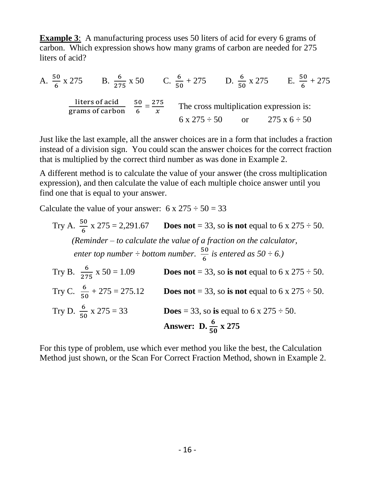**Example 3**: A manufacturing process uses 50 liters of acid for every 6 grams of carbon. Which expression shows how many grams of carbon are needed for 275 liters of acid?

A. 
$$
\frac{50}{6} \times 275
$$
 B.  $\frac{6}{275} \times 50$  C.  $\frac{6}{50} + 275$  D.  $\frac{6}{50} \times 275$  E.  $\frac{50}{6} + 275$   
  
litters of acid  
grams of carbon  $\frac{50}{6} = \frac{275}{x}$  The cross multiplication expression is:  
 $6 \times 275 \div 50$  or  $275 \times 6 \div 50$ 

Just like the last example, all the answer choices are in a form that includes a fraction instead of a division sign. You could scan the answer choices for the correct fraction that is multiplied by the correct third number as was done in Example 2.

A different method is to calculate the value of your answer (the cross multiplication expression), and then calculate the value of each multiple choice answer until you find one that is equal to your answer.

Calculate the value of your answer:  $6 \times 275 \div 50 = 33$ 

Try A. 
$$
\frac{50}{6}
$$
 x 275 = 2,291.67 **Does not** = 33, so **is not** equal to 6 x 275 ÷ 50.  
\n(*Reminder - to calculate the value of a fraction on the calculator,*  
\n*enter top number ÷ bottom number.*  $\frac{50}{6}$  *is entered as* 50 ÷ 6.)  
\nTry B.  $\frac{6}{275}$  x 50 = 1.09 **Does not** = 33, so **is not** equal to 6 x 275 ÷ 50.  
\nTry C.  $\frac{6}{50}$  + 275 = 275.12 **Does not** = 33, so **is not** equal to 6 x 275 ÷ 50.  
\nTry D.  $\frac{6}{50}$  x 275 = 33 **Does** = 33, so **is** equal to 6 x 275 ÷ 50.  
\n**Answer:** D.  $\frac{6}{50}$  x 275

For this type of problem, use which ever method you like the best, the Calculation Method just shown, or the Scan For Correct Fraction Method, shown in Example 2.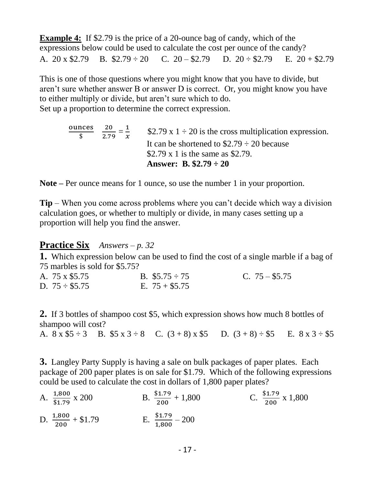**Example 4:** If \$2.79 is the price of a 20-ounce bag of candy, which of the expressions below could be used to calculate the cost per ounce of the candy? A. 20 x \$2.79 B.  $$2.79 \div 20$  C.  $20 - $2.79$  D.  $20 \div $2.79$  E.  $20 + $2.79$ 

This is one of those questions where you might know that you have to divide, but aren't sure whether answer B or answer D is correct. Or, you might know you have to either multiply or divide, but aren't sure which to do. Set up a proportion to determine the correct expression.

> ounces \$ 20  $\frac{20}{2.79} = \frac{1}{x}$  $\frac{1}{x}$  \$2.79 x 1 ÷ 20 is the cross multiplication expression. It can be shortened to  $$2.79 \div 20$  because \$2.79 x 1 is the same as \$2.79. **Answer: B. \$2.79 ÷ 20**

**Note –** Per ounce means for 1 ounce, so use the number 1 in your proportion.

**Tip** – When you come across problems where you can't decide which way a division calculation goes, or whether to multiply or divide, in many cases setting up a proportion will help you find the answer.

#### **Practice Six** *Answers – p. 32*

**1.** Which expression below can be used to find the cost of a single marble if a bag of 75 marbles is sold for \$5.75?

| A. 75 x \$5.75      | B. $$5.75 \div 75$ | C. $75 - $5.75$ |
|---------------------|--------------------|-----------------|
| D. $75 \div \$5.75$ | E. $75 + $5.75$    |                 |

**2.** If 3 bottles of shampoo cost \$5, which expression shows how much 8 bottles of shampoo will cost?

A.  $8 \times $5 \div 3$  B.  $$5 \times 3 \div 8$  C.  $(3+8) \times $5$  D.  $(3+8) \div $5$  E.  $8 \times 3 \div $5$ 

**3.** Langley Party Supply is having a sale on bulk packages of paper plates. Each package of 200 paper plates is on sale for \$1.79. Which of the following expressions could be used to calculate the cost in dollars of 1,800 paper plates?

A.  $\frac{1,800}{\$1.79}$ x 200 B.  $\frac{$1.79}{200}$  $+ 1,800$  C.  $\frac{$1.79}{$200} \times 1,800$ D.  $\frac{1,800}{200} + $1.79$  E.  $\frac{$1.79}{1,800} - 200$  $\overline{a}$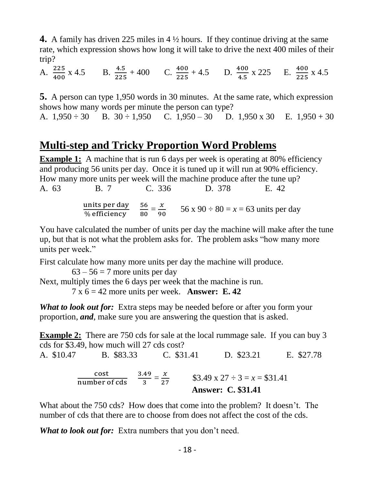**4.** A family has driven 225 miles in 4 ½ hours. If they continue driving at the same rate, which expression shows how long it will take to drive the next 400 miles of their trip?

A.  $\frac{225}{400}$  x 4.5 B.  $\frac{4.5}{225}$  + 400 C.  $\frac{400}{225}$  + 4.5 D.  $\frac{400}{4.5}$  x 225 E.  $\frac{400}{225}$  x 4.5

**5.** A person can type 1,950 words in 30 minutes. At the same rate, which expression shows how many words per minute the person can type? A.  $1,950 \div 30$  B.  $30 \div 1,950$  C.  $1,950 - 30$  D.  $1,950 \times 30$  E.  $1,950 + 30$ 

### **Multi-step and Tricky Proportion Word Problems**

**Example 1:** A machine that is run 6 days per week is operating at 80% efficiency and producing 56 units per day. Once it is tuned up it will run at 90% efficiency. How many more units per week will the machine produce after the tune up? A. 63 B. 7 C. 336 D. 378 E. 42

> units per day % efficiency 56  $\frac{56}{80} = \frac{x}{90}$  $\frac{x}{90}$  56 x 90 ÷ 80 = x = 63 units per day

You have calculated the number of units per day the machine will make after the tune up, but that is not what the problem asks for. The problem asks "how many more units per week."

First calculate how many more units per day the machine will produce.

 $63 - 56 = 7$  more units per day

Next, multiply times the 6 days per week that the machine is run.

7 x 6 = 42 more units per week. **Answer: E. 42**

*What to look out for:* Extra steps may be needed before or after you form your proportion, *and*, make sure you are answering the question that is asked.

**Example 2:** There are 750 cds for sale at the local rummage sale. If you can buy 3 cds for \$3.49, how much will 27 cds cost?

A. \$10.47 B. \$83.33 C. \$31.41 D. \$23.21 E. \$27.78 cost number of cds 3.49  $rac{.49}{3} = \frac{x}{27}$  $\frac{x}{27}$  \$3.49 x 27 ÷ 3 = x = \$31.41 **Answer: C. \$31.41**

What about the 750 cds? How does that come into the problem? It doesn't. The number of cds that there are to choose from does not affect the cost of the cds.

*What to look out for:* Extra numbers that you don't need.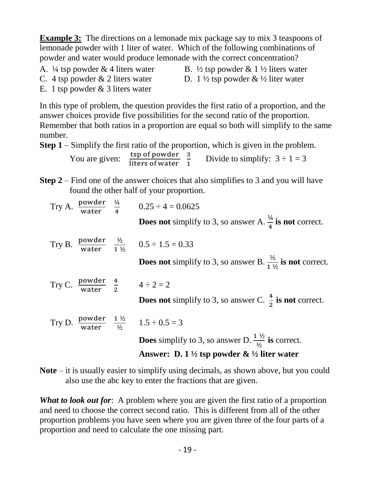and need to choose the correct second ratio. This is different from all of the other proportion problems you have seen where you are given three of the four parts of a

also use the abc key to enter the fractions that are given.

*What to look out for*: A problem where you are given the first ratio of a proportion

**Note** – it is usually easier to simplify using decimals, as shown above, but you could

Try C. <u>powder</u> water  $\frac{4}{2}$  4 ÷ 2 = 2 **Does not** simplify to 3, so answer C.  $\frac{4}{3}$  $\frac{4}{2}$  is not correct. Try D.  $\frac{\text{power}}{\text{water}}$ 1 ½  $\frac{1\frac{1}{2}}{\frac{1}{2}}$   $1.5 \div 0.5 = 3$ **Does** simplify to 3, so answer D.  $\frac{1 \frac{1}{2}}{12}$  is correct.

**Does not** simplify to 3, so answer B.  $\frac{1}{2}$  $\frac{72}{1\frac{1}{2}}$  is not correct.

 **Answer: D. 1 ½ tsp powder & ½ liter water**

Try A.  $\frac{\text{power}}{\text{water}} = \frac{\frac{1}{4}}{4}$  $\frac{4}{4}$  0.25 ÷ 4 = 0.0625 **Does not** simplify to 3, so answer A.  $\frac{\frac{1}{4}}{4}$  is not correct.

 $\frac{72}{1 \frac{1}{2}}$  0.5 ÷ 1.5 = 0.33

You are given:  $\frac{\text{tsp of powder}}{\text{liters of water}}$  3  $\frac{3}{1}$  Divide to simplify:  $3 \div 1 = 3$ 

C. 4 tsp powder  $\&$  2 liters water D. 1  $\frac{1}{2}$  tsp powder  $\&$   $\frac{1}{2}$  liter water

number.

Try B.  $\frac{\text{power}}{\text{water}}$ 

lemonade powder with 1 liter of water. Which of the following combinations of powder and water would produce lemonade with the correct concentration? A.  $\frac{1}{4}$  tsp powder & 4 liters water B.  $\frac{1}{2}$  tsp powder & 1  $\frac{1}{2}$  liters water

In this type of problem, the question provides the first ratio of a proportion, and the

Remember that both ratios in a proportion are equal so both will simplify to the same

answer choices provide five possibilities for the second ratio of the proportion.

**Step 1** – Simplify the first ratio of the proportion, which is given in the problem.

**Step 2** – Find one of the answer choices that also simplifies to 3 and you will have

**Example 3:** The directions on a lemonade mix package say to mix 3 teaspoons of

- -

- 19 -

- 
- E. 1 tsp powder & 3 liters water

found the other half of your proportion.

 $\frac{1}{2}$ 

4

proportion and need to calculate the one missing part.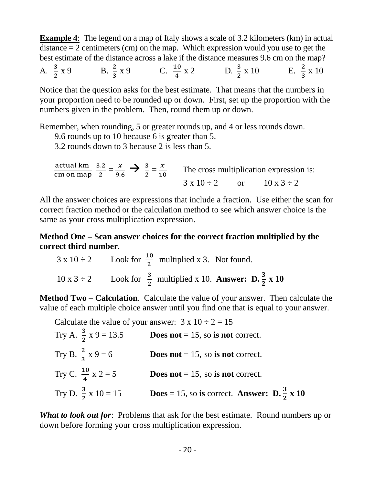**Example 4**: The legend on a map of Italy shows a scale of 3.2 kilometers (km) in actual distance  $= 2$  centimeters (cm) on the map. Which expression would you use to get the best estimate of the distance across a lake if the distance measures 9.6 cm on the map?

A.  $\frac{3}{2}$ 2  $x 9$  B.  $\frac{2}{3} x 9$  C.  $\frac{10}{4}$  $\frac{10}{4}$  x 2 D.  $\frac{3}{2}$  x 10 E. 2  $\frac{2}{3}$  x 10

Notice that the question asks for the best estimate. That means that the numbers in your proportion need to be rounded up or down. First, set up the proportion with the numbers given in the problem. Then, round them up or down.

Remember, when rounding, 5 or greater rounds up, and 4 or less rounds down.

9.6 rounds up to 10 because 6 is greater than 5.

3.2 rounds down to 3 because 2 is less than 5.

actual km cm on map 3.2  $\frac{3.2}{2} = \frac{x}{9.6}$  $\frac{x}{9.6}$   $\rightarrow$   $\frac{3}{2}$  $\frac{3}{2} = \frac{x}{10}$  $\frac{x}{10}$  The cross multiplication expression is:  $3 \times 10 \div 2$  or  $10 \times 3 \div 2$ 

All the answer choices are expressions that include a fraction. Use either the scan for correct fraction method or the calculation method to see which answer choice is the same as your cross multiplication expression.

**Method One – Scan answer choices for the correct fraction multiplied by the correct third number**.

$$
3 \times 10 \div 2
$$
 Look for  $\frac{10}{2}$  multiplied x 3. Not found.  
10 x 3 ÷ 2 Look for  $\frac{3}{2}$  multiplied x 10. Answer: D.  $\frac{3}{2}$  x 10

**Method Two** – **Calculation**. Calculate the value of your answer. Then calculate the value of each multiple choice answer until you find one that is equal to your answer.

Calculate the value of your answer:  $3 \times 10 \div 2 = 15$ 

| Try A. $\frac{3}{2}$ x 9 = 13.5 | <b>Does not</b> = 15, so is not correct.                                     |
|---------------------------------|------------------------------------------------------------------------------|
| Try B. $\frac{2}{3}$ x 9 = 6    | <b>Does not</b> = 15, so is not correct.                                     |
| Try C. $\frac{10}{4}$ x 2 = 5   | <b>Does not</b> = 15, so is not correct.                                     |
| Try D. $\frac{3}{2}$ x 10 = 15  | <b>Does</b> = 15, so is correct. <b>Answer: D.</b> $\frac{3}{2}$ <b>x</b> 10 |

*What to look out for*: Problems that ask for the best estimate. Round numbers up or down before forming your cross multiplication expression.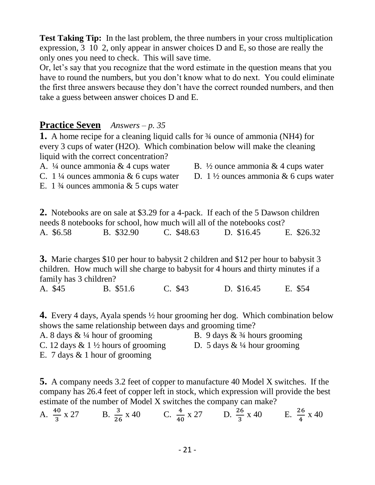**Test Taking Tip:** In the last problem, the three numbers in your cross multiplication expression, 3 10 2, only appear in answer choices D and E, so those are really the only ones you need to check. This will save time.

Or, let's say that you recognize that the word estimate in the question means that you have to round the numbers, but you don't know what to do next. You could eliminate the first three answers because they don't have the correct rounded numbers, and then take a guess between answer choices D and E.

#### **Practice Seven** *Answers – p. 35*

**1.** A home recipe for a cleaning liquid calls for ¾ ounce of ammonia (NH4) for every 3 cups of water (H2O). Which combination below will make the cleaning liquid with the correct concentration?

C. 1 ¼ ounces ammonia & 6 cups water D. 1 ½ ounces ammonia & 6 cups water

E. 1  $\frac{3}{4}$  ounces ammonia & 5 cups water

**2.** Notebooks are on sale at \$3.29 for a 4-pack. If each of the 5 Dawson children needs 8 notebooks for school, how much will all of the notebooks cost? A. \$6.58 B. \$32.90 C. \$48.63 D. \$16.45 E. \$26.32

**3.** Marie charges \$10 per hour to babysit 2 children and \$12 per hour to babysit 3 children. How much will she charge to babysit for 4 hours and thirty minutes if a family has 3 children?

A. \$45 B. \$51.6 C. \$43 D. \$16.45 E. \$54

**4.** Every 4 days, Ayala spends ½ hour grooming her dog. Which combination below shows the same relationship between days and grooming time?

A. 8 days  $\& 1/4$  hour of grooming B. 9 days  $\& 3/4$  hours grooming

C. 12 days & 1  $\frac{1}{2}$  hours of grooming D. 5 days &  $\frac{1}{4}$  hour grooming

E. 7 days & 1 hour of grooming

**5.** A company needs 3.2 feet of copper to manufacture 40 Model X switches. If the company has 26.4 feet of copper left in stock, which expression will provide the best estimate of the number of Model X switches the company can make?

A. 
$$
\frac{40}{3}
$$
 x 27 B.  $\frac{3}{26}$  x 40 C.  $\frac{4}{40}$  x 27 D.  $\frac{26}{3}$  x 40 E.  $\frac{26}{4}$  x 40

A.  $\frac{1}{4}$  ounce ammonia & 4 cups water B.  $\frac{1}{2}$  ounce ammonia & 4 cups water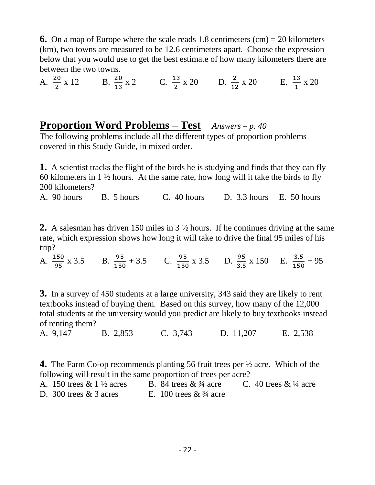**6.** On a map of Europe where the scale reads 1.8 centimeters  $(cm) = 20$  kilometers (km), two towns are measured to be 12.6 centimeters apart. Choose the expression below that you would use to get the best estimate of how many kilometers there are between the two towns.

A.  $\frac{20}{2} \times 12$  B.  $\frac{20}{13} \times 2$  C.  $\frac{13}{2} \times 20$  D.  $\frac{2}{12} \times 20$  E.  $\frac{13}{1} \times 20$ 

#### **Proportion Word Problems – Test** *Answers – p. 40*

The following problems include all the different types of proportion problems covered in this Study Guide, in mixed order.

**1.** A scientist tracks the flight of the birds he is studying and finds that they can fly 60 kilometers in  $1\frac{1}{2}$  hours. At the same rate, how long will it take the birds to fly 200 kilometers?

A. 90 hours B. 5 hours C. 40 hours D. 3.3 hours E. 50 hours

**2.** A salesman has driven 150 miles in 3 ½ hours. If he continues driving at the same rate, which expression shows how long it will take to drive the final 95 miles of his trip?

A.  $\frac{150}{95}$  x 3.5 B.  $\frac{95}{150}$  + 3.5 C.  $\frac{95}{150}$  x 3.5 D.  $\frac{95}{3.5}$  x 150 E.  $\frac{3.5}{150}$  + 95

**3.** In a survey of 450 students at a large university, 343 said they are likely to rent textbooks instead of buying them. Based on this survey, how many of the 12,000 total students at the university would you predict are likely to buy textbooks instead of renting them?

A. 9,147B. 2,853 C. 3,743 D. 11,207 E. 2,538

**4.** The Farm Co-op recommends planting 56 fruit trees per ½ acre. Which of the following will result in the same proportion of trees per acre?

| A. 150 trees $& 1\frac{1}{2}$ acres | B. 84 trees $\&$ 3/4 acre | C. 40 trees $& 1/4$ acre |
|-------------------------------------|---------------------------|--------------------------|
| D. 300 trees $& 3$ acres            | E. 100 trees $& 3/4$ acre |                          |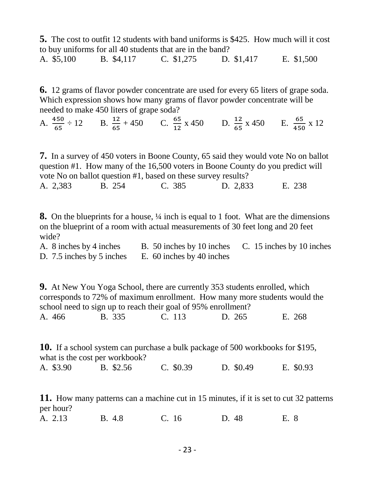**5.** The cost to outfit 12 students with band uniforms is \$425. How much will it cost to buy uniforms for all 40 students that are in the band?

A. \$5,100 B. \$4,117 C. \$1,275 D. \$1,417 E. \$1,500

**6.** 12 grams of flavor powder concentrate are used for every 65 liters of grape soda. Which expression shows how many grams of flavor powder concentrate will be needed to make 450 liters of grape soda?

A.  $\frac{450}{65} \div 12$  B.  $\frac{12}{65} + 450$  C.  $\frac{65}{12} \times 450$  D.  $\frac{12}{65} \times 450$  E.  $\frac{65}{450} \times 12$ 

**7.** In a survey of 450 voters in Boone County, 65 said they would vote No on ballot question #1. How many of the 16,500 voters in Boone County do you predict will vote No on ballot question #1, based on these survey results? A. 2,383 B. 254 C. 385 D. 2,833 E. 238

**8.** On the blueprints for a house, ¼ inch is equal to 1 foot. What are the dimensions on the blueprint of a room with actual measurements of 30 feet long and 20 feet wide?

| A. 8 inches by 4 inches | B. 50 inches by 10 inches C. 15 inches by 10 inches |  |
|-------------------------|-----------------------------------------------------|--|
|                         | D. 7.5 inches by 5 inches E. 60 inches by 40 inches |  |

**9.** At New You Yoga School, there are currently 353 students enrolled, which corresponds to 72% of maximum enrollment. How many more students would the school need to sign up to reach their goal of 95% enrollment? A. 466 B. 335 C. 113 D. 265 E. 268

**10.** If a school system can purchase a bulk package of 500 workbooks for \$195, what is the cost per workbook? A. \$3.90 B. \$2.56 C. \$0.39 D. \$0.49 E. \$0.93

**11.** How many patterns can a machine cut in 15 minutes, if it is set to cut 32 patterns per hour?

A. 2.13B. 4.8 C. 16 D. 48 E. 8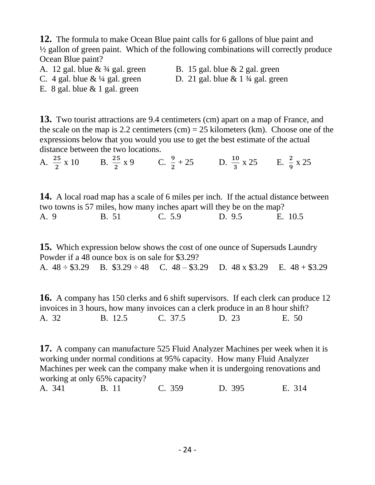**12.** The formula to make Ocean Blue paint calls for 6 gallons of blue paint and ½ gallon of green paint. Which of the following combinations will correctly produce Ocean Blue paint?

- 
- A. 12 gal. blue  $\& \frac{3}{4}$  gal. green B. 15 gal. blue  $\&$  2 gal. green
- C.  $4$  gal. blue  $\&$  <sup>1</sup>/<sub>4</sub> gal. green D. 21 gal. blue  $\&$  1 <sup>3</sup>/<sub>4</sub> gal. green

E. 8 gal. blue  $& 1$  gal. green

**13.** Two tourist attractions are 9.4 centimeters (cm) apart on a map of France, and the scale on the map is 2.2 centimeters (cm)  $= 25$  kilometers (km). Choose one of the expressions below that you would you use to get the best estimate of the actual distance between the two locations.

A.  $\frac{25}{2} \times 10$  B.  $\frac{25}{2} \times 9$  C.  $\frac{9}{2} + 25$  D.  $\frac{10}{3} \times 25$  E.  $\frac{2}{9} \times 25$ 

**14.** A local road map has a scale of 6 miles per inch. If the actual distance between two towns is 57 miles, how many inches apart will they be on the map?

A. 9B. 51 C. 5.9 D. 9.5 E. 10.5

**15.** Which expression below shows the cost of one ounce of Supersuds Laundry Powder if a 48 ounce box is on sale for \$3.29? A.  $48 \div \$3.29$  B.  $\$3.29 \div 48$  C.  $48 - \$3.29$  D.  $48 \times \$3.29$  E.  $48 + \$3.29$ 

**16.** A company has 150 clerks and 6 shift supervisors. If each clerk can produce 12 invoices in 3 hours, how many invoices can a clerk produce in an 8 hour shift? A. 32B. 12.5 C. 37.5 D. 23 E. 50

**17.** A company can manufacture 525 Fluid Analyzer Machines per week when it is working under normal conditions at 95% capacity. How many Fluid Analyzer Machines per week can the company make when it is undergoing renovations and working at only 65% capacity?

A. 341 B. 11 C. 359 D. 395 E. 314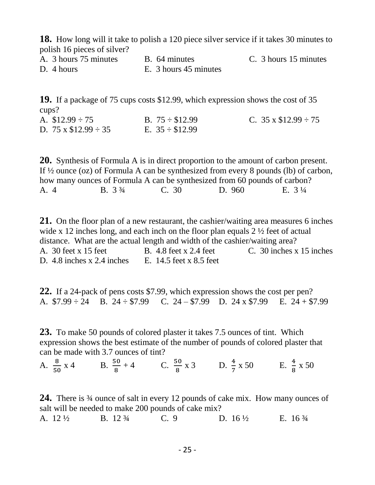**18.** How long will it take to polish a 120 piece silver service if it takes 30 minutes to polish 16 pieces of silver?

A. 3 hours 75 minutes B. 64 minutes C. 3 hours 15 minutes

D. 4 hours E. 3 hours 45 minutes

**19.** If a package of 75 cups costs \$12.99, which expression shows the cost of 35 cups? A.  $$12.99 \div 75$  B.  $75 \div $12.99$  C.  $35 \times $12.99 \div 75$ 

D.  $75 \times \$12.99 \div 35$  E.  $35 \div \$12.99$ 

**20.** Synthesis of Formula A is in direct proportion to the amount of carbon present. If ½ ounce (oz) of Formula A can be synthesized from every 8 pounds (lb) of carbon, how many ounces of Formula A can be synthesized from 60 pounds of carbon? A. 4 B. 3 <sup>3</sup>/<sub>4</sub> C. 30 D. 960 E. 3 <sup>1</sup>/<sub>4</sub>

**21.** On the floor plan of a new restaurant, the cashier/waiting area measures 6 inches wide x 12 inches long, and each inch on the floor plan equals 2  $\frac{1}{2}$  feet of actual distance. What are the actual length and width of the cashier/waiting area? A. 30 feet x 15 feet B. 4.8 feet x 2.4 feet C. 30 inches x 15 inches D. 4.8 inches x 2.4 inches E. 14.5 feet x 8.5 feet

**22.** If a 24-pack of pens costs \$7.99, which expression shows the cost per pen? A. \$7.99 ÷ 24B. 24 ÷ \$7.99 C. 24 – \$7.99 D. 24 x \$7.99 E. 24 + \$7.99

**23.** To make 50 pounds of colored plaster it takes 7.5 ounces of tint. Which expression shows the best estimate of the number of pounds of colored plaster that can be made with 3.7 ounces of tint?

A.  $\frac{8}{50} \times 4$  B.  $\frac{50}{8} + 4$  C.  $\frac{50}{8} \times 3$  D.  $\frac{4}{7} \times 50$  E.  $\frac{4}{8} \times 50$ 

**24.** There is ¾ ounce of salt in every 12 pounds of cake mix. How many ounces of salt will be needed to make 200 pounds of cake mix? A. 12 ½B. 12 ¾ C. 9 D. 16 ½ E. 16 ¾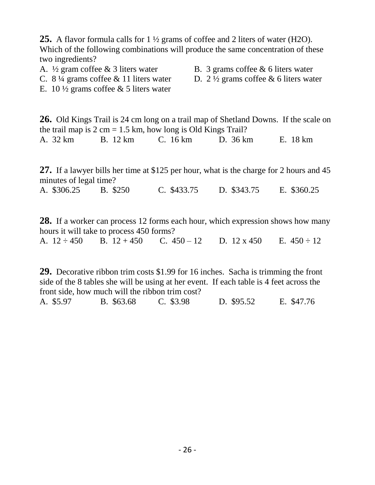**25.** A flavor formula calls for 1 ½ grams of coffee and 2 liters of water (H2O). Which of the following combinations will produce the same concentration of these two ingredients?

A.  $\frac{1}{2}$  gram coffee & 3 liters water B. 3 grams coffee & 6 liters water

- C. 8  $\frac{1}{4}$  grams coffee & 11 liters water D. 2  $\frac{1}{2}$  grams coffee & 6 liters water
- E. 10  $\frac{1}{2}$  grams coffee & 5 liters water

**26.** Old Kings Trail is 24 cm long on a trail map of Shetland Downs. If the scale on the trail map is  $2 \text{ cm} = 1.5 \text{ km}$ , how long is Old Kings Trail? A. 32 kmB. 12 km C. 16 km D. 36 km E. 18 km

**27.** If a lawyer bills her time at \$125 per hour, what is the charge for 2 hours and 45 minutes of legal time?

A. \$306.25B. \$250 C. \$433.75 D. \$343.75 E. \$360.25

**28.** If a worker can process 12 forms each hour, which expression shows how many hours it will take to process 450 forms?

A. 12 ÷ 450B. 12 + 450 C. 450 – 12 D. 12 x 450 E. 450 ÷ 12

**29.** Decorative ribbon trim costs \$1.99 for 16 inches. Sacha is trimming the front side of the 8 tables she will be using at her event. If each table is 4 feet across the front side, how much will the ribbon trim cost?

A. \$5.97B. \$63.68 C. \$3.98 D. \$95.52 E. \$47.76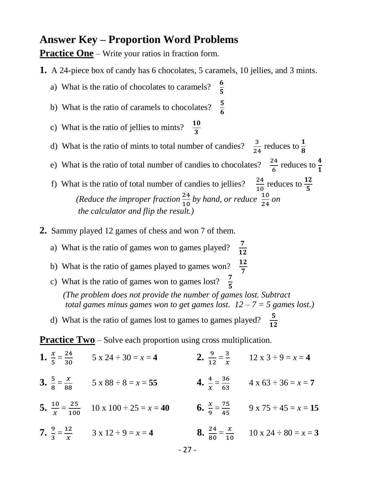#### **Answer Key – Proportion Word Problems**

**Practice One** – Write your ratios in fraction form.

- **1.** A 24-piece box of candy has 6 chocolates, 5 caramels, 10 jellies, and 3 mints.
	- a) What is the ratio of chocolates to caramels? 5
	- b) What is the ratio of caramels to chocolates? 6
- c) What is the ratio of jellies to mints?  $\frac{10}{2}$  $\frac{1}{3}$
- d) What is the ratio of mints to total number of candies?  $\frac{3}{24}$  reduces to  $\frac{1}{8}$
- e) What is the ratio of total number of candies to chocolates?  $\frac{24}{6}$  reduces to  $\frac{4}{1}$  $\frac{1}{6}$   $\frac{1}{1}$
- f) What is the ratio of total number of candies to jellies?  $\frac{24}{10}$  reduces to  $\frac{12}{5}$ *(Reduce the improper fraction*  $\frac{24}{10}$  *by hand, or reduce*  $\frac{10}{24}$  *on the calculator and flip the result.)*
- **2.** Sammy played 12 games of chess and won 7 of them.
	- a) What is the ratio of games won to games played? 12
	- b) What is the ratio of games played to games won? 7
- c) What is the ratio of games won to games lost?  $\frac{7}{5}$  *(The problem does not provide the number of games lost. Subtract total games minus games won to get games lost.*  $12 - 7 = 5$  *games lost.*)
- d) What is the ratio of games lost to games to games played?  $\frac{5}{12}$

**Practice Two** – Solve each proportion using cross multiplication.

|  | 1. $\frac{x}{5} = \frac{24}{30}$ 5 x 24 ÷ 30 = x = 4      | 2. $\frac{9}{12} = \frac{3}{x}$ 12 x 3 ÷ 9 = x = 4            |
|--|-----------------------------------------------------------|---------------------------------------------------------------|
|  | 3. $\frac{5}{8} = \frac{x}{88}$ 5 x 88 ÷ 8 = x = 55       | 4. $\frac{4}{x} = \frac{36}{63}$ 4 x 63 ÷ 36 = x = 7          |
|  | 5. $\frac{10}{x} = \frac{25}{100}$ 10 x 100 ÷ 25 = x = 40 | 6. $\frac{x}{9} = \frac{75}{45}$ 9 x 75 ÷ 45 = x = 15         |
|  | 7. $\frac{9}{3} = \frac{12}{x}$ 3 x 12 ÷ 9 = x = 4        | <b>8.</b> $\frac{24}{80} = \frac{x}{10}$ 10 x 24 ÷ 80 = x = 3 |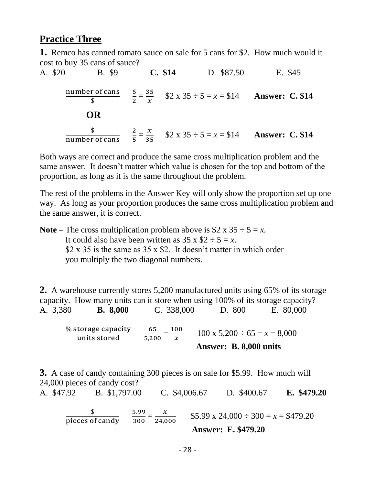#### **Practice Three**

**1.** Remco has canned tomato sauce on sale for 5 cans for \$2. How much would it cost to buy 35 cans of sauce?

A. \$20 B. \$9 **C. \$14** D. \$87.50 E. \$45 number of cans  $\frac{\text{r of cans}}{\text{\$}}$   $\frac{5}{2}$  $\frac{5}{2} = \frac{35}{x}$  $\frac{35}{x}$  \$2 x 35 ÷ 5 = x = \$14 **Answer: C. \$14 OR** \$  $\frac{\$}{\text{number of cans}}$   $\frac{2}{5}$  $\frac{2}{5} = \frac{x}{35}$  \$2 x 35 ÷ 5 = x = \$14 **Answer: C. \$14** 

Both ways are correct and produce the same cross multiplication problem and the same answer. It doesn't matter which value is chosen for the top and bottom of the proportion, as long as it is the same throughout the problem.

The rest of the problems in the Answer Key will only show the proportion set up one way. As long as your proportion produces the same cross multiplication problem and the same answer, it is correct.

**Note** – The cross multiplication problem above is  $$2 \times 35 \div 5 = x$ . It could also have been written as  $35 \times $2 \div 5 = x$ .  $$2 \times 35$  is the same as  $35 \times $2$ . It doesn't matter in which order you multiply the two diagonal numbers.

**2.** A warehouse currently stores 5,200 manufactured units using 65% of its storage capacity. How many units can it store when using 100% of its storage capacity? A. 3,380 **B. 8,000** C. 338,000 D. 800 E. 80,000

% storage capacity units stored 65  $\frac{65}{5,200} = \frac{100}{x}$  $\frac{00}{x}$  100 x 5,200 ÷ 65 = x = 8,000 **Answer: B. 8,000 units**

**3.** A case of candy containing 300 pieces is on sale for \$5.99. How much will 24,000 pieces of candy cost? A. \$47.92 B. \$1,797.00 C. \$4,006.67 D. \$400.67 **E. \$479.20**

$$
\frac{\$}{\text{pieces of candy}} \quad \frac{5.99}{300} = \frac{x}{24,000} \quad \frac{\$5.99 \times 24,000 \div 300 = x = \$479.20}{\text{Answer: E. \$479.20}}
$$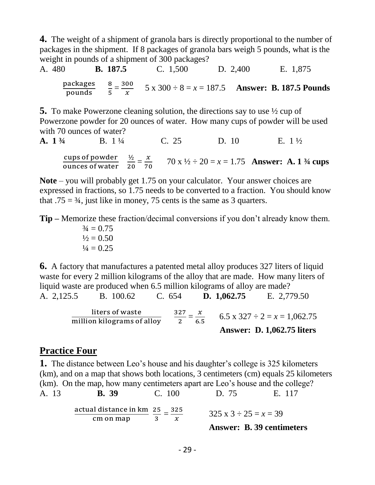**4.** The weight of a shipment of granola bars is directly proportional to the number of packages in the shipment. If 8 packages of granola bars weigh 5 pounds, what is the weight in pounds of a shipment of 300 packages?

A. 480 **B. 187.5** C. 1,500 D. 2,400 E. 1,875 packages pounds 8  $\frac{8}{5} = \frac{300}{x}$  $\frac{60}{x}$  5 x 300 ÷ 8 = x = 187.5 **Answer: B. 187.5 Pounds** 

**5.** To make Powerzone cleaning solution, the directions say to use ½ cup of Powerzone powder for 20 ounces of water. How many cups of powder will be used with 70 ounces of water?

**A.** 1<sup>3</sup>/<sub>4</sub> **B.** 1<sup>1</sup>/<sub>4</sub> **C.** 25 **D.** 10 **E.** 1<sup>1</sup>/<sub>2</sub>  
\n**cups of powder** 
$$
\frac{1}{2} = \frac{x}{70}
$$
  $70 x 1/2 \div 20 = x = 1.75$  **Answer: A.** 1<sup>3</sup>/<sub>4</sub> **cups**

**Note** – you will probably get 1.75 on your calculator. Your answer choices are expressed in fractions, so 1.75 needs to be converted to a fraction. You should know that  $.75 = 3/4$ , just like in money, 75 cents is the same as 3 quarters.

**Tip –** Memorize these fraction/decimal conversions if you don't already know them.  $\frac{3}{4} = 0.75$ 

$$
\frac{1}{2} = 0.50
$$
  

$$
\frac{1}{4} = 0.25
$$

**6.** A factory that manufactures a patented metal alloy produces 327 liters of liquid waste for every 2 million kilograms of the alloy that are made. How many liters of liquid waste are produced when 6.5 million kilograms of alloy are made?

A. 2,125.5 B. 100.62 C. 654 **D. 1,062.75** E. 2,779.50 liters of waste million kilograms of alloy 327  $\frac{27}{2} = \frac{x}{6}$  $\frac{x}{6.5}$  6.5 x 327 ÷ 2 = x = 1,062.75 **Answer: D. 1,062.75 liters**

#### **Practice Four**

**1.** The distance between Leo's house and his daughter's college is 325 kilometers (km), and on a map that shows both locations, 3 centimeters (cm) equals 25 kilometers (km). On the map, how many centimeters apart are Leo's house and the college? A. 13 **B. 39** C. 100 D. 75 E. 117

$$
\frac{\text{actual distance in km}}{\text{cm on map}} \frac{25}{3} = \frac{325}{x}
$$

 $325 \times 3 \div 25 = x = 39$ 

**Answer: B. 39 centimeters**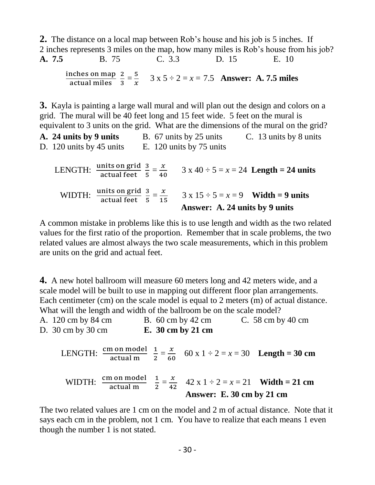**2.** The distance on a local map between Rob's house and his job is 5 inches. If 2 inches represents 3 miles on the map, how many miles is Rob's house from his job? **A. 7.5** B. 75 C. 3.3 D. 15 E. 10 inches on map actual miles 2  $\frac{2}{3} = \frac{5}{x}$  $\frac{5}{x}$  3 x 5 ÷ 2 = x = 7.5 **Answer: A. 7.5 miles** 

**3.** Kayla is painting a large wall mural and will plan out the design and colors on a grid. The mural will be 40 feet long and 15 feet wide. 5 feet on the mural is equivalent to 3 units on the grid. What are the dimensions of the mural on the grid?

**A. 24 units by 9 units** B. 67 units by 25 units C. 13 units by 8 units D. 120 units by 45 units E. 120 units by 75 units D. 120 units by 75 units

LENGTH:  $\frac{\text{units on grid}}{\text{actual feet}}$  3  $\frac{3}{5} = \frac{x}{40}$  $\frac{x}{40}$  3 x 40 ÷ 5 = x = 24 **Length = 24 units** WIDTH:  $\frac{units \text{ on grid}}{actual \text{ feet}}$  3  $\frac{3}{5} = \frac{x}{15}$  3 x 15 ÷ 5 = x = 9 **Width = 9 units Answer: A. 24 units by 9 units**

A common mistake in problems like this is to use length and width as the two related values for the first ratio of the proportion. Remember that in scale problems, the two related values are almost always the two scale measurements, which in this problem are units on the grid and actual feet.

**4.** A new hotel ballroom will measure 60 meters long and 42 meters wide, and a scale model will be built to use in mapping out different floor plan arrangements. Each centimeter (cm) on the scale model is equal to 2 meters (m) of actual distance. What will the length and width of the ballroom be on the scale model?

| A. 120 cm by 84 cm                    | B. $60 \text{ cm}$ by 42 cm | C. 58 cm by 40 cm |
|---------------------------------------|-----------------------------|-------------------|
| D. $30 \text{ cm}$ by $30 \text{ cm}$ | E. 30 cm by 21 cm           |                   |

LENGTH:  $\frac{cm \text{ on model}}{\text{actual m}} \frac{1}{2}$  $\frac{1}{2} = \frac{x}{60}$  $\frac{x}{60}$  60 x 1 ÷ 2 = x = 30 **Length = 30 cm** WIDTH:  $\frac{cm \text{ on model}}{actual \text{ m}}$ n on model 1<br>actual m  $\frac{1}{2} = \frac{x}{42}$  $\frac{x}{42}$  42 x 1 ÷ 2 = x = 21 **Width = 21 cm Answer: E. 30 cm by 21 cm**

The two related values are 1 cm on the model and 2 m of actual distance. Note that it says each cm in the problem, not 1 cm. You have to realize that each means 1 even though the number 1 is not stated.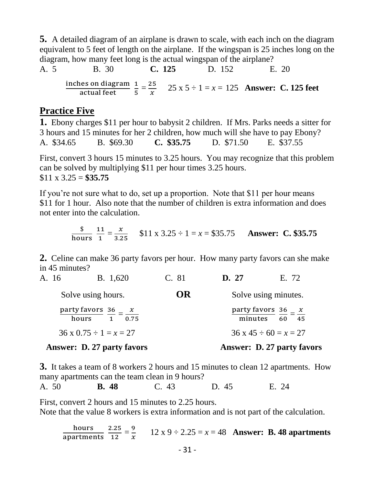**5.** A detailed diagram of an airplane is drawn to scale, with each inch on the diagram equivalent to 5 feet of length on the airplane. If the wingspan is 25 inches long on the diagram, how many feet long is the actual wingspan of the airplane?

A. 5 B. 30 C. 125 D. 152 E. 20  
inches on diagram 
$$
\frac{1}{5} = \frac{25}{x}
$$
 25 x 5 ÷ 1 = x = 125 Answer: C. 125 feet

#### **Practice Five**

**1.** Ebony charges \$11 per hour to babysit 2 children. If Mrs. Parks needs a sitter for 3 hours and 15 minutes for her 2 children, how much will she have to pay Ebony? A. \$34.65 B. \$69.30 **C. \$35.75** D. \$71.50 E. \$37.55 First, convert 3 hours 15 minutes to 3.25 hours. You may recognize that this problem can be solved by multiplying \$11 per hour times 3.25 hours.

\$11 x 3.25 = **\$35.75**

If you're not sure what to do, set up a proportion. Note that \$11 per hour means \$11 for 1 hour. Also note that the number of children is extra information and does not enter into the calculation.

$$
\frac{\$}{\text{hours}} = \frac{x}{1} = \frac{x}{3.25} \quad \$11 \times 3.25 \div 1 = x = \$35.75 \quad \text{Answer: C. \$35.75}
$$

**2.** Celine can make 36 party favors per hour. How many party favors can she make in 45 minutes?

| A. 16 | <b>B.</b> 1,620                                               | C. 81 | D. 27 | E. 72                                                          |
|-------|---------------------------------------------------------------|-------|-------|----------------------------------------------------------------|
|       | Solve using hours.                                            | OR    |       | Solve using minutes.                                           |
|       | party favors $\frac{36}{5} - \frac{x}{x}$<br>hours $1 - 0.75$ |       |       | party favors $\frac{36}{5} - \frac{x}{x}$<br>minutes $60 - 45$ |
|       | $36 \times 0.75 \div 1 = x = 27$                              |       |       | $36 \times 45 \div 60 = x = 27$                                |
|       | <b>Answer: D. 27 party favors</b>                             |       |       | <b>Answer: D. 27 party favors</b>                              |

**3.** It takes a team of 8 workers 2 hours and 15 minutes to clean 12 apartments. How many apartments can the team clean in 9 hours?

A. 50 **B. 48** C. 43 D. 45 E. 24

First, convert 2 hours and 15 minutes to 2.25 hours. Note that the value 8 workers is extra information and is not part of the calculation.

hours apartments 2.25  $\frac{2.25}{12} = \frac{9}{x}$  $\frac{9}{x}$  12 x 9 ÷ 2.25 = x = 48 **Answer: B. 48 apartments**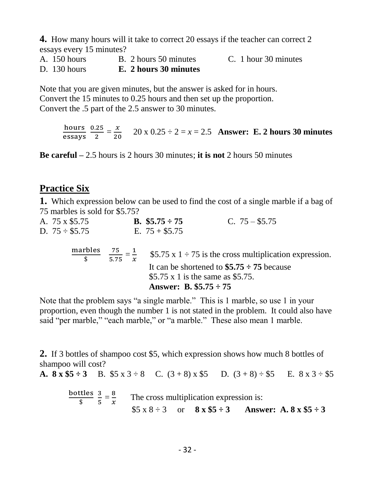**4.** How many hours will it take to correct 20 essays if the teacher can correct 2 essays every 15 minutes?

A. 150 hours B. 2 hours 50 minutes C. 1 hour 30 minutes

D. 130 hours **E. 2 hours 30 minutes**

Note that you are given minutes, but the answer is asked for in hours. Convert the 15 minutes to 0.25 hours and then set up the proportion. Convert the .5 part of the 2.5 answer to 30 minutes.

> hours  $\frac{\text{hours}}{\text{essays}} \frac{0.25}{2}$  $\frac{.25}{2} = \frac{x}{20}$  $\frac{x}{20}$  20 x 0.25 ÷ 2 = x = 2.5 **Answer: E. 2 hours 30 minutes**

**Be careful –** 2.5 hours is 2 hours 30 minutes; **it is not** 2 hours 50 minutes

#### **Practice Six**

**1.** Which expression below can be used to find the cost of a single marble if a bag of 75 marbles is sold for \$5.75?

| A. 75 x \$5.75      |              | <b>B.</b> $$5.75 \div 75$ | C. $75 - $5.75$                                                  |  |
|---------------------|--------------|---------------------------|------------------------------------------------------------------|--|
| D. $75 \div$ \$5.75 |              | E. $75 + $5.75$           |                                                                  |  |
|                     | marbles 75 1 |                           | $\Phi F \mathcal{T} F = 1 + 75$ is the excess multiplication and |  |

$$
\frac{\text{marbles}}{\$} \quad \frac{75}{5.75} = \frac{1}{x} \quad \$5.75 \times 1 \div 75 \text{ is the cross multiplication expression.}
$$
\n
$$
\text{It can be shortened to \$5.75} \div 75 \text{ because } \$5.75 \times 1 \text{ is the same as \$5.75.}
$$
\n
$$
\text{Answer: } \text{B. \$5.75} \div 75
$$

Note that the problem says "a single marble." This is 1 marble, so use 1 in your proportion, even though the number 1 is not stated in the problem. It could also have said "per marble," "each marble," or "a marble." These also mean 1 marble.

**2.** If 3 bottles of shampoo cost \$5, which expression shows how much 8 bottles of shampoo will cost?

**A.** 
$$
8 \times $5 \div 3
$$
 **B.**  $$5 \times 3 \div 8$  **C.**  $(3+8) \times $5$  **D.**  $(3+8) \div $5$  **E.**  $8 \times 3 \div $5$ 

bottles  $\frac{2}{3}$   $\frac{3}{5}$  $\frac{3}{5} = \frac{8}{x}$  $\frac{8}{x}$  The cross multiplication expression is: \$5 x 8  $\div$  3 or **8 x \$5**  $\div$  3 **Answer: A. 8 x \$5**  $\div$  3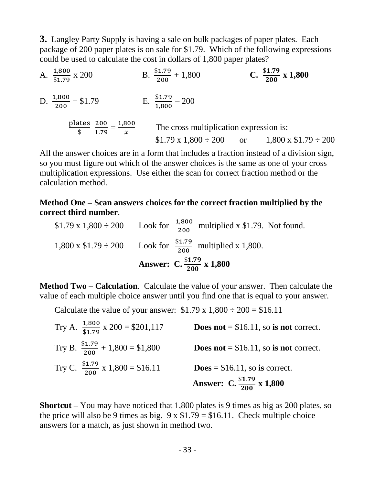**3.** Langley Party Supply is having a sale on bulk packages of paper plates. Each package of 200 paper plates is on sale for \$1.79. Which of the following expressions could be used to calculate the cost in dollars of 1,800 paper plates?

A.  $\frac{1,800}{\$1.79}$ x 200 B.  $\frac{$1.79}{200}$  $+ 1,800$  **C.**  $\frac{$1.79}{200} \times 1,800$ D.  $\frac{1,800}{200}$  $+ $1.79$  E.  $\frac{$1.79}{1,800} - 200$ plates  $\frac{1}{\$}$   $\frac{200}{1.79}$  $\frac{200}{1.79} = \frac{1,800}{x}$  $\mathcal{X}$  The cross multiplication expression is:  $$1.79 \times 1,800 \div 200$  or  $1,800 \times 1.79 \div 200$ 

All the answer choices are in a form that includes a fraction instead of a division sign, so you must figure out which of the answer choices is the same as one of your cross multiplication expressions. Use either the scan for correct fraction method or the calculation method.

#### **Method One – Scan answers choices for the correct fraction multiplied by the correct third number**.

\$1.79 x 1,800  $\div$  200 Look for  $\frac{1,800}{200}$  multiplied x \$1.79. Not found. 1,800 x  $$1.79 \div 200$  Look for  $\frac{$1.79}{200}$  multiplied x 1,800. **Answer:** C.  $\frac{$1.79}{200} \times 1,800$ 

**Method Two** – **Calculation**. Calculate the value of your answer. Then calculate the value of each multiple choice answer until you find one that is equal to your answer.

Calculate the value of your answer:  $$1.79 \times 1,800 \div 200 = $16.11$ 

| Try A. $\frac{1,800}{\$1,79}$ x 200 = \$201,117 | <b>Does not</b> = $$16.11$ , so is not correct. |
|-------------------------------------------------|-------------------------------------------------|
| Try B. $\frac{$1.79}{200} + 1,800 = $1,800$     | <b>Does not</b> = $$16.11$ , so is not correct. |
| Try C. $\frac{$1.79}{$200}$ x 1,800 = \$16.11   | $\textbf{Does} = $16.11$ , so is correct.       |
|                                                 | Answer: C. $\frac{$1.79}{$200} \times 1,800$    |

**Shortcut –** You may have noticed that 1,800 plates is 9 times as big as 200 plates, so the price will also be 9 times as big.  $9 \times $1.79 = $16.11$ . Check multiple choice answers for a match, as just shown in method two.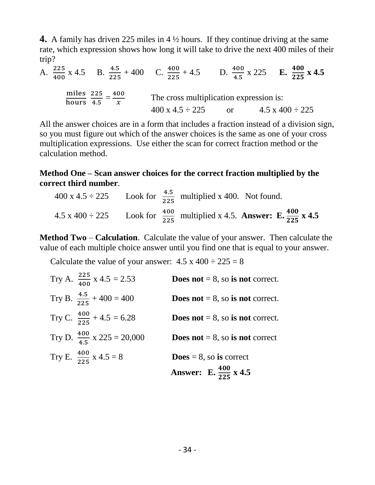**4.** A family has driven 225 miles in 4 ½ hours. If they continue driving at the same rate, which expression shows how long it will take to drive the next 400 miles of their trip?

A.  $\frac{225}{400}$  x 4.5 B.  $\frac{4.5}{225}$  + 400 C.  $\frac{400}{225}$  + 4.5 D.  $\frac{400}{4.5}$  $\frac{400}{4.5}$  x 225 **E.**  $\frac{400}{225}$  x 4.5 miles 225<br>hours 4.5  $\frac{225}{4.5} = \frac{400}{x}$  $\frac{00}{x}$  The cross multiplication expression is:  $400 \times 4.5 \div 225$  or  $4.5 \times 400 \div 225$ 

All the answer choices are in a form that includes a fraction instead of a division sign, so you must figure out which of the answer choices is the same as one of your cross multiplication expressions. Use either the scan for correct fraction method or the calculation method.

#### **Method One – Scan answer choices for the correct fraction multiplied by the correct third number**.

|  | 400 x 4.5 $\div$ 225 Look for $\frac{4.5}{225}$ multiplied x 400. Not found.                    |
|--|-------------------------------------------------------------------------------------------------|
|  | 4.5 x 400 ÷ 225 Look for $\frac{400}{225}$ multiplied x 4.5. Answer: E. $\frac{400}{225}$ x 4.5 |

**Method Two** – **Calculation**. Calculate the value of your answer. Then calculate the value of each multiple choice answer until you find one that is equal to your answer.

Calculate the value of your answer:  $4.5 \times 400 \div 225 = 8$ 

| Try A. $\frac{225}{400}$ x 4.5 = 2.53   | <b>Does not</b> = 8, so is not correct.   |
|-----------------------------------------|-------------------------------------------|
| Try B. $\frac{4.5}{225} + 400 = 400$    | <b>Does not</b> = 8, so is not correct.   |
| Try C. $\frac{400}{225} + 4.5 = 6.28$   | <b>Does not</b> = 8, so is not correct.   |
| Try D. $\frac{400}{4.5}$ x 225 = 20,000 | <b>Does not</b> $= 8$ , so is not correct |
| Try E. $\frac{400}{225}$ x 4.5 = 8      | $\textbf{Does} = 8$ , so is correct       |
|                                         | Answer: E. $\frac{400}{225}$ x 4.5        |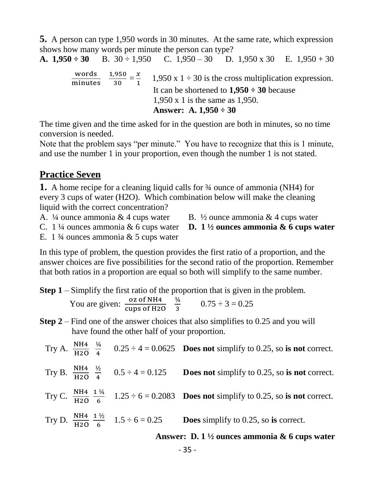**5.** A person can type 1,950 words in 30 minutes. At the same rate, which expression shows how many words per minute the person can type?

**A.**  $1,950 \div 30$  B.  $30 \div 1,950$  C.  $1,950 - 30$  D.  $1,950 \times 30$  E.  $1,950 + 30$ 

words minutes 1,950  $\frac{1}{30}$  =  $\frac{x}{1}$  $\frac{x}{1}$  1,950 x 1 ÷ 30 is the cross multiplication expression. It can be shortened to **1,950 ÷ 30** because 1,950 x 1 is the same as 1,950. **Answer: A. 1,950 ÷ 30**

The time given and the time asked for in the question are both in minutes, so no time conversion is needed.

Note that the problem says "per minute." You have to recognize that this is 1 minute, and use the number 1 in your proportion, even though the number 1 is not stated.

#### **Practice Seven**

**1.** A home recipe for a cleaning liquid calls for ¾ ounce of ammonia (NH4) for every 3 cups of water (H2O). Which combination below will make the cleaning liquid with the correct concentration?

- A.  $\frac{1}{4}$  ounce ammonia & 4 cups water B.  $\frac{1}{2}$  ounce ammonia & 4 cups water
	-
- C. 1 ¼ ounces ammonia & 6 cups water **D. 1 ½ ounces ammonia & 6 cups water**
	-
- E. 1  $\frac{3}{4}$  ounces ammonia & 5 cups water

In this type of problem, the question provides the first ratio of a proportion, and the answer choices are five possibilities for the second ratio of the proportion. Remember that both ratios in a proportion are equal so both will simplify to the same number.

**Step 1** – Simplify the first ratio of the proportion that is given in the problem.

You are given:  $\frac{\text{o}z \text{ of } NH4}{\text{cups of } H2O}$   $\frac{3/4}{3}$  $\frac{34}{3}$  0.75 ÷ 3 = 0.25

**Step 2** – Find one of the answer choices that also simplifies to 0.25 and you will have found the other half of your proportion.

|  |  | Try A. $\frac{NH4}{H20}$ $\frac{1}{4}$ 0.25 ÷ 4 = 0.0625 <b>Does not</b> simplify to 0.25, so is not correct. |
|--|--|---------------------------------------------------------------------------------------------------------------|
|  |  |                                                                                                               |

- Try B.  $\frac{NH4}{H20}$   $\frac{1}{2}$ 4 **Does not** simplify to 0.25, so **is not** correct.
- Try C.  $\frac{NH4}{H2O} \frac{1\frac{1}{4}}{6}$  $\frac{74}{6}$  1.25  $\div$  6 = 0.2083 **Does not** simplify to 0.25, so **is not** correct.
- Try D.  $\frac{NH4}{H20} \frac{1\frac{1}{2}}{6}$  $\frac{72}{6}$  1.5 ÷ 6 = 0.25 **Does** simplify to 0.25, so **is** correct.

#### **Answer: D. 1 ½ ounces ammonia & 6 cups water**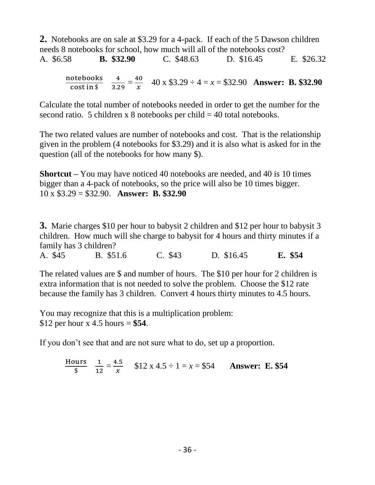**2.** Notebooks are on sale at \$3.29 for a 4-pack. If each of the 5 Dawson children needs 8 notebooks for school, how much will all of the notebooks cost? A. \$6.58 **B. \$32.90** C. \$48.63 D. \$16.45 E. \$26.32

notebooks  $\frac{\text{otebooks}}{\text{cost in } $}\quad \frac{4}{3.2}$  $\frac{4}{3.29} = \frac{40}{x}$  $\frac{40}{x}$  40 x \$3.29 ÷ 4 = x = \$32.90 **Answer: B. \$32.90** 

Calculate the total number of notebooks needed in order to get the number for the second ratio. 5 children x 8 notebooks per child  $=$  40 total notebooks.

The two related values are number of notebooks and cost. That is the relationship given in the problem (4 notebooks for \$3.29) and it is also what is asked for in the question (all of the notebooks for how many \$).

**Shortcut –** You may have noticed 40 notebooks are needed, and 40 is 10 times bigger than a 4-pack of notebooks, so the price will also be 10 times bigger. 10 x \$3.29 = \$32.90. **Answer: B. \$32.90**

**3.** Marie charges \$10 per hour to babysit 2 children and \$12 per hour to babysit 3 children. How much will she charge to babysit for 4 hours and thirty minutes if a family has 3 children?

A. \$45 B. \$51.6 C. \$43 D. \$16.45 **E. \$54**

The related values are \$ and number of hours. The \$10 per hour for 2 children is extra information that is not needed to solve the problem. Choose the \$12 rate because the family has 3 children. Convert 4 hours thirty minutes to 4.5 hours.

You may recognize that this is a multiplication problem: \$12 per hour x 4.5 hours = **\$54**.

If you don't see that and are not sure what to do, set up a proportion.

Hours  $\frac{\text{urs}}{\$}$   $\frac{1}{12}$  $\frac{1}{12} = \frac{4.5}{x}$  $\frac{1.5}{x}$  \$12 x 4.5 ÷ 1 = x = \$54 **Answer: E. \$54**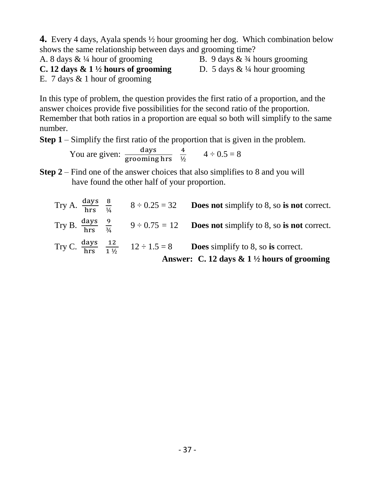**4.** Every 4 days, Ayala spends ½ hour grooming her dog. Which combination below shows the same relationship between days and grooming time?

A. 8 days  $\& \frac{1}{4}$  hour of grooming B. 9 days  $\& \frac{3}{4}$  hours grooming

- 
- **C. 12 days & 1**  $\frac{1}{2}$  **hours of grooming** D. 5 days &  $\frac{1}{4}$  hour grooming
- 

E. 7 days & 1 hour of grooming

In this type of problem, the question provides the first ratio of a proportion, and the answer choices provide five possibilities for the second ratio of the proportion. Remember that both ratios in a proportion are equal so both will simplify to the same number.

**Step 1** – Simplify the first ratio of the proportion that is given in the problem.

You are given:  $\frac{days}{\text{grooming hrs}}$   $\frac{4}{\frac{1}{2}}$  $\frac{4}{\frac{1}{2}}$  4 ÷ 0.5 = 8

**Step 2** – Find one of the answer choices that also simplifies to 8 and you will have found the other half of your proportion.

|  | Try A. $\frac{days}{hrs}$ $\frac{8}{\frac{1}{4}}$ $8 \div 0.25 = 32$ Does not simplify to 8, so is not correct.                                                   |
|--|-------------------------------------------------------------------------------------------------------------------------------------------------------------------|
|  | Try B. $\frac{days}{hrs}$ $\frac{9}{34}$ $9 \div 0.75 = 12$ Does not simplify to 8, so is not correct.                                                            |
|  | Try C. $\frac{days}{hrs}$ $\frac{12}{1\frac{1}{2}}$ $12 \div 1.5 = 8$ Does simplify to 8, so is correct.<br>Answer: C. 12 days & $1\frac{1}{2}$ hours of grooming |
|  |                                                                                                                                                                   |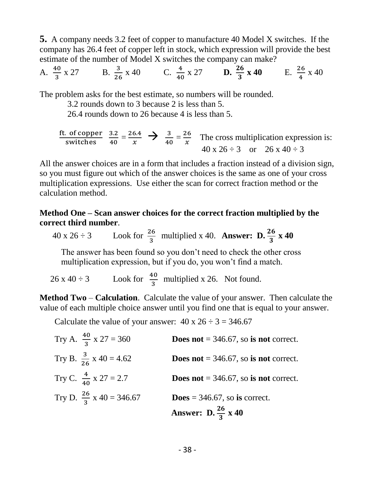**5.** A company needs 3.2 feet of copper to manufacture 40 Model X switches. If the company has 26.4 feet of copper left in stock, which expression will provide the best estimate of the number of Model X switches the company can make?

A. 
$$
\frac{40}{3}
$$
 x 27 B.  $\frac{3}{26}$  x 40 C.  $\frac{4}{40}$  x 27 D.  $\frac{26}{3}$  x 40 E.  $\frac{26}{4}$  x 40

The problem asks for the best estimate, so numbers will be rounded.

3.2 rounds down to 3 because 2 is less than 5.

26.4 rounds down to 26 because 4 is less than 5.

fit. of copper 
$$
\frac{3.2}{40} = \frac{26.4}{x}
$$
  $\rightarrow \frac{3}{40} = \frac{26}{x}$  The cross multiplication expression is:  
  $40 \times 26 \div 3$  or  $26 \times 40 \div 3$ 

All the answer choices are in a form that includes a fraction instead of a division sign, so you must figure out which of the answer choices is the same as one of your cross multiplication expressions. Use either the scan for correct fraction method or the calculation method.

#### **Method One – Scan answer choices for the correct fraction multiplied by the correct third number**.

 $40 \times 26 \div 3$  Look for  $\frac{26}{3}$  multiplied x 40. **Answer: D.**  $\frac{26}{3} \times 40$ 

 The answer has been found so you don't need to check the other cross multiplication expression, but if you do, you won't find a match.

 $26 \times 40 \div 3$  Look for  $\frac{40}{3}$  multiplied x 26. Not found.

**Method Two** – **Calculation**. Calculate the value of your answer. Then calculate the value of each multiple choice answer until you find one that is equal to your answer.

Calculate the value of your answer:  $40 \times 26 \div 3 = 346.67$ 

Try A. 
$$
\frac{40}{3}
$$
 x 27 = 360  
\n**Does not** = 346.67, so **is not** correct.  
\nTry B.  $\frac{3}{26}$  x 40 = 4.62  
\n**Does not** = 346.67, so **is not** correct.  
\nTry C.  $\frac{4}{40}$  x 27 = 2.7  
\n**Does not** = 346.67, so **is not** correct.  
\nTry D.  $\frac{26}{3}$  x 40 = 346.67  
\n**Does** = 346.67, so **is** correct.  
\n**Answer:** D.  $\frac{26}{3}$  x 40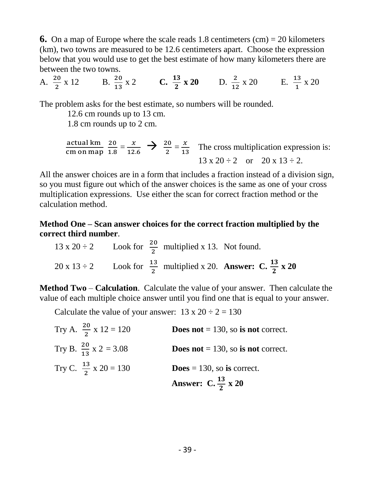**6.** On a map of Europe where the scale reads 1.8 centimeters  $(cm) = 20$  kilometers (km), two towns are measured to be 12.6 centimeters apart. Choose the expression below that you would use to get the best estimate of how many kilometers there are between the two towns.

A. 
$$
\frac{20}{2}
$$
 x 12 B.  $\frac{20}{13}$  x 2 C.  $\frac{13}{2}$  x 20 D.  $\frac{2}{12}$  x 20 E.  $\frac{13}{1}$  x 20

The problem asks for the best estimate, so numbers will be rounded.

12.6 cm rounds up to 13 cm.

1.8 cm rounds up to 2 cm.

$$
\frac{\text{actual km}}{\text{cm on map}} \frac{20}{1.8} = \frac{x}{12.6} \implies \frac{20}{2} = \frac{x}{13}
$$
 The cross multiplication expression is:  
13 x 20 ÷ 2 or 20 x 13 ÷ 2.

All the answer choices are in a form that includes a fraction instead of a division sign, so you must figure out which of the answer choices is the same as one of your cross multiplication expressions. Use either the scan for correct fraction method or the calculation method.

#### **Method One – Scan answer choices for the correct fraction multiplied by the correct third number**.

13 x 20 ÷ 2  
Look for 
$$
\frac{20}{2}
$$
 multiplied x 13. Not found.  
20 x 13 ÷ 2  
Look for  $\frac{13}{2}$  multiplied x 20. Answer: C.  $\frac{13}{2}$  x 20

**Method Two** – **Calculation**. Calculate the value of your answer. Then calculate the value of each multiple choice answer until you find one that is equal to your answer.

Calculate the value of your answer:  $13 \times 20 \div 2 = 130$ 

| Try A. $\frac{20}{2}$ x 12 = 120  | <b>Does not</b> = 130, so is not correct. |
|-----------------------------------|-------------------------------------------|
| Try B. $\frac{20}{13}$ x 2 = 3.08 | <b>Does not</b> = 130, so is not correct. |
| Try C. $\frac{13}{2}$ x 20 = 130  | <b>Does</b> = 130, so is correct.         |
|                                   | Answer: C. $\frac{13}{2}$ x 20            |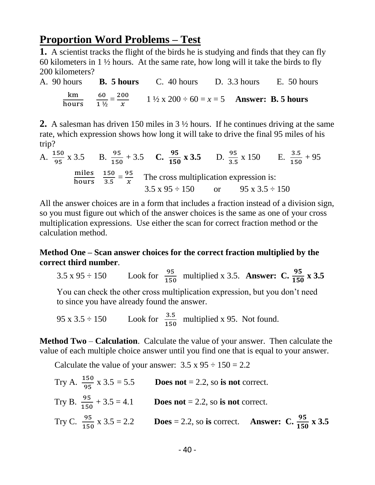## **Proportion Word Problems – Test**

**1.** A scientist tracks the flight of the birds he is studying and finds that they can fly 60 kilometers in  $1\frac{1}{2}$  hours. At the same rate, how long will it take the birds to fly 200 kilometers?

A. 90 hours **B. 5 hours** C. 40 hours D. 3.3 hours E. 50 hours  $\frac{\text{km}}{\text{hours}}$   $\frac{60}{1\%}$  $\frac{60}{1\frac{1}{2}} = \frac{200}{x}$  $\frac{00}{x}$  1 <sup>1</sup>/<sub>2</sub> x 200 ÷ 60 = x = 5 **Answer: B. 5 hours** 

**2.** A salesman has driven 150 miles in 3 ½ hours. If he continues driving at the same rate, which expression shows how long it will take to drive the final 95 miles of his trip?

A.  $\frac{150}{95} \times 3.5$  B.  $\frac{95}{150} + 3.5$  C.  $\frac{95}{150} \times 3.5$  D.  $\frac{95}{3.5} \times 150$  E.  $\frac{3.5}{150} + 95$ miles 150<br>hours 3.5  $\frac{150}{3.5} = \frac{95}{x}$  $\frac{35}{x}$  The cross multiplication expression is:  $3.5 \times 95 \div 150$  or  $95 \times 3.5 \div 150$ 

All the answer choices are in a form that includes a fraction instead of a division sign, so you must figure out which of the answer choices is the same as one of your cross multiplication expressions. Use either the scan for correct fraction method or the calculation method.

#### **Method One – Scan answer choices for the correct fraction multiplied by the correct third number**.

3.5 x 95 ÷ 150 Look for  $\frac{95}{150}$  multiplied x 3.5. **Answer: C.**  $\frac{95}{150}$  x 3.5

 You can check the other cross multiplication expression, but you don't need to since you have already found the answer.

95 x 3.5  $\div$  150 Look for  $\frac{3.5}{150}$  multiplied x 95. Not found.

**Method Two** – **Calculation**. Calculate the value of your answer. Then calculate the value of each multiple choice answer until you find one that is equal to your answer.

Calculate the value of your answer:  $3.5 \times 95 \div 150 = 2.2$ 

|  | Try A. $\frac{150}{95}$ x 3.5 = 5.5 Does not = 2.2, so is not correct.                           |
|--|--------------------------------------------------------------------------------------------------|
|  | Try B. $\frac{95}{150} + 3.5 = 4.1$ Does not = 2.2, so is not correct.                           |
|  | Try C. $\frac{95}{150}$ x 3.5 = 2.2 Does = 2.2, so is correct. Answer: C. $\frac{95}{150}$ x 3.5 |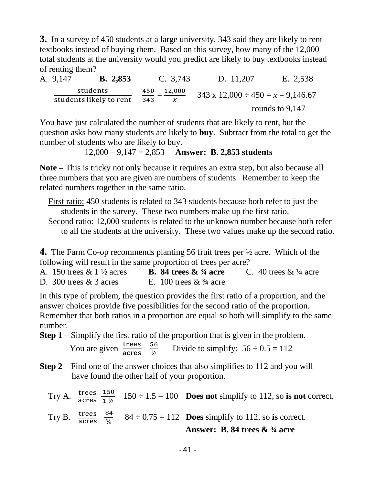**3.** In a survey of 450 students at a large university, 343 said they are likely to rent textbooks instead of buying them. Based on this survey, how many of the 12,000 total students at the university would you predict are likely to buy textbooks instead of renting them?

A. 9,147 **B. 2,853** C. 3,743 D. 11,207 E. 2,538 students students likely to rent 450  $\frac{450}{343} = \frac{12,000}{x}$  $\frac{343 \times 12,000 \div 450}{x}$  343 x 12,000  $\div 450 = x = 9,146.67$ rounds to 9,147

You have just calculated the number of students that are likely to rent, but the question asks how many students are likely to **buy**. Subtract from the total to get the number of students who are likely to buy.

12,000 – 9,147 = 2,853 **Answer: B. 2,853 students**

**Note –** This is tricky not only because it requires an extra step, but also because all three numbers that you are given are numbers of students. Remember to keep the related numbers together in the same ratio.

 First ratio: 450 students is related to 343 students because both refer to just the students in the survey. These two numbers make up the first ratio.

 Second ratio: 12,000 students is related to the unknown number because both refer to all the students at the university. These two values make up the second ratio.

**4.** The Farm Co-op recommends planting 56 fruit trees per ½ acre. Which of the following will result in the same proportion of trees per acre?

| A. 150 trees $\&$ 1 $\frac{1}{2}$ acres | <b>B.</b> 84 trees $\&$ <sup>3</sup> /4 acre | C. 40 trees $& 1/4$ acre |
|-----------------------------------------|----------------------------------------------|--------------------------|
| D. 300 trees $\&$ 3 acres               | E. 100 trees $& 3/4$ acre                    |                          |

In this type of problem, the question provides the first ratio of a proportion, and the answer choices provide five possibilities for the second ratio of the proportion. Remember that both ratios in a proportion are equal so both will simplify to the same number.

**Step 1** – Simplify the first ratio of the proportion that is given in the problem.

You are given  $\frac{\text{trees}}{\text{acres}} = \frac{56}{\frac{1}{2}}$  $rac{56}{\frac{1}{2}}$  Divide to simplify:  $56 \div 0.5 = 112$ 

- **Step 2** Find one of the answer choices that also simplifies to 112 and you will have found the other half of your proportion.
- Try A.  $\frac{\text{trees}}{\text{ acres}} \frac{150}{1 \frac{1}{2}}$  $\frac{150}{1\frac{1}{2}}$  150 ÷ 1.5 = 100 **Does not** simplify to 112, so **is not** correct. Try B.  $\frac{\text{trees}}{\text{acres}}$ 84  $\frac{84}{\frac{3}{4}}$  84 ÷ 0.75 = 112 **Does** simplify to 112, so is correct.  **Answer: B. 84 trees & ¾ acre**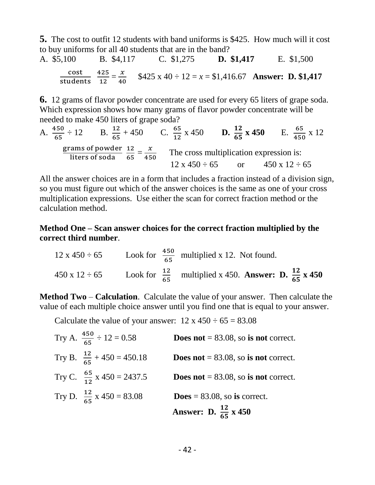**5.** The cost to outfit 12 students with band uniforms is \$425. How much will it cost to buy uniforms for all 40 students that are in the band?<br>A \$5,100 B \$4,117 C \$1,275 D. A. \$5,100 B. \$4,117 C. \$1,275 **D. \$1,417** E. \$1,500

$$
\frac{\text{cost}}{\text{students}} \frac{425}{12} = \frac{x}{40} \quad $425 \times 40 \div 12 = x = $1,416.67 \quad \text{Answer: D. $1,417}
$$

**6.** 12 grams of flavor powder concentrate are used for every 65 liters of grape soda. Which expression shows how many grams of flavor powder concentrate will be needed to make 450 liters of grape soda?

A. 
$$
\frac{450}{65} \div 12
$$
 B.  $\frac{12}{65} + 450$  C.  $\frac{65}{12} \times 450$  D.  $\frac{12}{65} \times 450$  E.  $\frac{65}{450} \times 12$   
\n $\frac{\text{grams of powder}}{\text{liters of soda}} = \frac{12}{65} = \frac{x}{450}$  The cross multiplication expression is:  
\n $12 \times 450 \div 65$  or  $450 \times 12 \div 65$ 

All the answer choices are in a form that includes a fraction instead of a division sign, so you must figure out which of the answer choices is the same as one of your cross multiplication expressions. Use either the scan for correct fraction method or the calculation method.

#### **Method One – Scan answer choices for the correct fraction multiplied by the correct third number**.

12 x 450 ÷ 65 Look for 
$$
\frac{450}{65}
$$
 multiplied x 12. Not found.  
450 x 12 ÷ 65 Look for  $\frac{12}{65}$  multiplied x 450. Answer: D.  $\frac{12}{65}$  x 450

**Method Two** – **Calculation**. Calculate the value of your answer. Then calculate the value of each multiple choice answer until you find one that is equal to your answer.

Calculate the value of your answer:  $12 \times 450 \div 65 = 83.08$ 

| Try A. $\frac{450}{65} \div 12 = 0.58$ | <b>Does not</b> = $83.08$ , so is not correct. |
|----------------------------------------|------------------------------------------------|
| Try B. $\frac{12}{65} + 450 = 450.18$  | <b>Does not</b> = $83.08$ , so is not correct. |
| Try C. $\frac{65}{12}$ x 450 = 2437.5  | <b>Does not</b> = 83.08, so is not correct.    |
| Try D. $\frac{12}{65}$ x 450 = 83.08   | $\textbf{Does} = 83.08$ , so is correct.       |
|                                        | Answer: D. $\frac{12}{65}$ x 450               |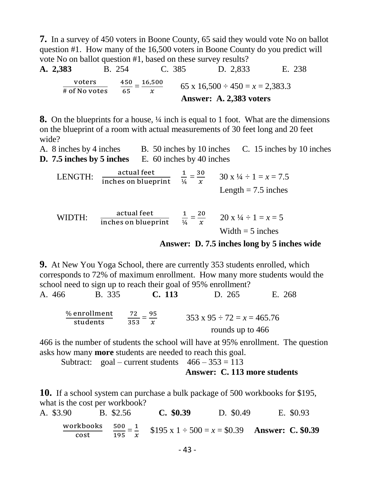**7.** In a survey of 450 voters in Boone County, 65 said they would vote No on ballot question #1. How many of the 16,500 voters in Boone County do you predict will vote No on ballot question #1, based on these survey results?

**A. 2,383** B. 254 C. 385 D. 2,833 E. 238  $\frac{\text{voters}}{\text{\# of No votes}} \qquad \frac{450}{65} = \frac{16,500}{x}$  $\frac{500}{x}$  65 x 16,500 ÷ 450 = x = 2,383.3 **Answer: A. 2,383 voters**

**8.** On the blueprints for a house, ¼ inch is equal to 1 foot. What are the dimensions on the blueprint of a room with actual measurements of 30 feet long and 20 feet wide?

A. 8 inches by 4 inches B. 50 inches by 10 inches C. 15 inches by 10 inches **D. 7.5 inches by 5 inches** E. 60 inches by 40 inches

LENGTH:  $\frac{\text{actual feet}}{\text{inches on blueprint}}$   $\frac{1}{\frac{1}{4}}$  $rac{1}{\frac{1}{4}} = \frac{30}{x}$  $\frac{30}{x}$  30 x 1/4 ÷ 1 = x = 7.5 Length  $= 7.5$  inches

WIDTH:  $\frac{\text{actual feet}}{\text{inches on blueprint}}$   $\frac{1}{\frac{1}{4}}$  $rac{1}{\frac{1}{4}} = \frac{20}{x}$  $\frac{20}{x}$  20 x  $\frac{1}{4} \div 1 = x = 5$ Width  $=$  5 inches

#### **Answer: D. 7.5 inches long by 5 inches wide**

**9.** At New You Yoga School, there are currently 353 students enrolled, which corresponds to 72% of maximum enrollment. How many more students would the school need to sign up to reach their goal of 95% enrollment? A. 466 B. 335 **C. 113** D. 265 E. 268

| % enrollment | 72  | $353 \times 95 \div 72 = x = 465.76$<br>rounds up to 466 |
|--------------|-----|----------------------------------------------------------|
| students     | 353 |                                                          |

466 is the number of students the school will have at 95% enrollment. The question asks how many **more** students are needed to reach this goal.

Subtract: goal – current students  $466 - 353 = 113$ 

#### **Answer: C. 113 more students**

**10.** If a school system can purchase a bulk package of 500 workbooks for \$195, what is the cost per workbook?

| A. \$3.90 | B. \$2.56 | C. \$0.39                                                                                              | D. \$0.49 | E. \$0.93 |
|-----------|-----------|--------------------------------------------------------------------------------------------------------|-----------|-----------|
|           |           | <u>workbooks</u> $\frac{500}{195} = \frac{1}{x}$ \$195 x 1 ÷ 500 = x = \$0.39 <b>Answer: C. \$0.39</b> |           |           |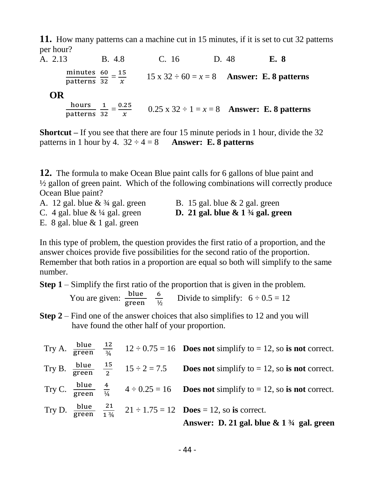**11.** How many patterns can a machine cut in 15 minutes, if it is set to cut 32 patterns per hour?

A. 2.13B. 4.8 C. 16 D. 48 **E. 8** minutes 60<br>patterns 32  $\frac{60}{32} = \frac{15}{x}$  $\mathcal{X}$ 15 x  $32 \div 60 = x = 8$  **Answer: E. 8 patterns OR**  hours 1<br>patterns 32  $\frac{1}{32} = \frac{0.25}{x}$  $\mathcal{X}$ 0.25 x  $32 \div 1 = x = 8$  **Answer: E. 8 patterns** 

**Shortcut –** If you see that there are four 15 minute periods in 1 hour, divide the 32 patterns in 1 hour by 4.  $32 \div 4 = 8$  **Answer: E. 8 patterns** 

**12.** The formula to make Ocean Blue paint calls for 6 gallons of blue paint and ½ gallon of green paint. Which of the following combinations will correctly produce Ocean Blue paint?

- 
- A. 12 gal. blue  $\& \frac{3}{4}$  gal. green B. 15 gal. blue  $\&$  2 gal. green
- C.4 gal. blue & ¼ gal. green **D. 21 gal. blue & 1 ¾ gal. green**
- E. 8 gal. blue  $& 1$  gal. green

In this type of problem, the question provides the first ratio of a proportion, and the answer choices provide five possibilities for the second ratio of the proportion. Remember that both ratios in a proportion are equal so both will simplify to the same number.

**Step 1** – Simplify the first ratio of the proportion that is given in the problem.

You are given:  $\frac{\text{blue}}{\text{green}}$   $\frac{6}{\frac{1}{2}}$  $\frac{6}{12}$  Divide to simplify:  $6 \div 0.5 = 12$ 

**Step 2** – Find one of the answer choices that also simplifies to 12 and you will have found the other half of your proportion.

|  |  | Try A. $\frac{\text{blue}}{\text{green}} = \frac{12}{34}$ 12 ÷ 0.75 = 16 <b>Does not</b> simplify to = 12, so is not correct.      |
|--|--|------------------------------------------------------------------------------------------------------------------------------------|
|  |  | Try B. $\frac{\text{blue}}{\text{green}}$ $\frac{15}{2}$ $15 \div 2 = 7.5$ Does not simplify to = 12, so is not correct.           |
|  |  | Try C. $\frac{\text{blue}}{\text{green}}$ $\frac{4}{\frac{1}{4}}$ $4 \div 0.25 = 16$ Does not simplify to = 12, so is not correct. |
|  |  | Try D. $\frac{\text{blue}}{\text{green}} = \frac{21}{134} = 21 \div 1.75 = 12$ <b>Does</b> = 12, so is correct.                    |
|  |  | Answer: D. 21 gal. blue $\&$ 1 $\frac{3}{4}$ gal. green                                                                            |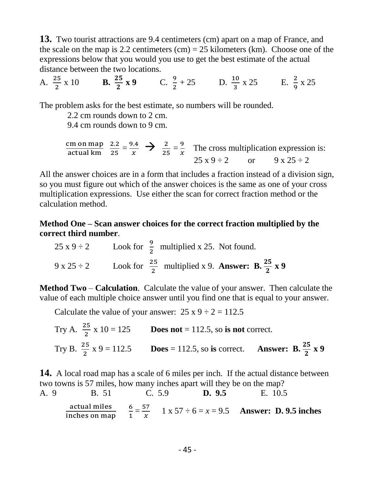**13.** Two tourist attractions are 9.4 centimeters (cm) apart on a map of France, and the scale on the map is 2.2 centimeters  $(cm) = 25$  kilometers  $(km)$ . Choose one of the expressions below that you would you use to get the best estimate of the actual distance between the two locations.

A. 
$$
\frac{25}{2}
$$
 x 10 **B.**  $\frac{25}{2}$  x 9 **C.**  $\frac{9}{2}$  + 25 **D.**  $\frac{10}{3}$  x 25 **E.**  $\frac{2}{9}$  x 25

The problem asks for the best estimate, so numbers will be rounded.

2.2 cm rounds down to 2 cm.

9.4 cm rounds down to 9 cm.

$$
\frac{\text{cm on map}}{\text{actual km}} \quad \frac{2.2}{25} = \frac{9.4}{x} \quad \blacktriangleright \quad \frac{2}{25} = \frac{9}{x} \quad \text{The cross multiplication expression is:}
$$
\n
$$
25 \times 9 \div 2 \qquad \text{or} \qquad 9 \times 25 \div 2
$$

All the answer choices are in a form that includes a fraction instead of a division sign, so you must figure out which of the answer choices is the same as one of your cross multiplication expressions. Use either the scan for correct fraction method or the calculation method.

**Method One – Scan answer choices for the correct fraction multiplied by the correct third number**.

25 x 9 ÷ 2  
25 x 9 ÷ 2  
25 x 2  
26 
$$
\frac{9}{2}
$$
 multiplied x 25. Not found.  
25 x 2  
26  $\frac{25}{2}$  multiplied x 9. **Answer: B.**  $\frac{25}{2}$  x 9

**Method Two** – **Calculation**. Calculate the value of your answer. Then calculate the value of each multiple choice answer until you find one that is equal to your answer.

Calculate the value of your answer:  $25 \times 9 \div 2 = 112.5$ 

Try A. 
$$
\frac{25}{2}
$$
 x 10 = 125 **Does not** = 112.5, so **is not** correct.  
Try B.  $\frac{25}{2}$  x 9 = 112.5 **Does** = 112.5, so **is correct**. **Answer:** B.  $\frac{25}{2}$  x 9

**14.** A local road map has a scale of 6 miles per inch. If the actual distance between two towns is 57 miles, how many inches apart will they be on the map?

A. 9 B. 51 C. 5.9 **D. 9.5** E. 10.5  
\nactual miles 
$$
\frac{6}{1} = \frac{57}{x}
$$
 1 x 57 ÷ 6 = x = 9.5 **Answer: D. 9.5 inches**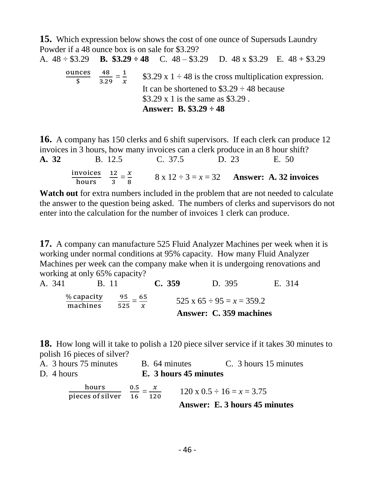**15.** Which expression below shows the cost of one ounce of Supersuds Laundry Powder if a 48 ounce box is on sale for \$3.29? A. 48 ÷ \$3.29 **B. \$3.29 ÷ 48** C. 48 – \$3.29 D. 48 x \$3.29 E. 48 + \$3.29 ounces \$ 48  $\frac{48}{3.29} = \frac{1}{x}$  $\mathcal{X}$ \$3.29 x 1  $\div$  48 is the cross multiplication expression.

It can be shortened to  $\$3.29 \div 48$  because \$3.29 x 1 is the same as \$3.29 . **Answer: B. \$3.29 ÷ 48** 

**16.** A company has 150 clerks and 6 shift supervisors. If each clerk can produce 12 invoices in 3 hours, how many invoices can a clerk produce in an 8 hour shift? **A. 32** B. 12.5 C. 37.5 D. 23 E. 50 invoices hours 12  $\frac{12}{3} = \frac{x}{8}$  $\frac{x}{8}$  8 x 12 ÷ 3 = x = 32 **Answer: A. 32 invoices** 

Watch out for extra numbers included in the problem that are not needed to calculate the answer to the question being asked. The numbers of clerks and supervisors do not enter into the calculation for the number of invoices 1 clerk can produce.

**17.** A company can manufacture 525 Fluid Analyzer Machines per week when it is working under normal conditions at 95% capacity. How many Fluid Analyzer Machines per week can the company make when it is undergoing renovations and working at only 65% capacity?

A. 341 B. 11 **C. 359** D. 395 E. 314 % capacity machines  $\frac{95}{525} = \frac{65}{x}$  $\mathcal{X}$ 525 x  $65 \div 95 = x = 359.2$  **Answer: C. 359 machines**

**18.** How long will it take to polish a 120 piece silver service if it takes 30 minutes to polish 16 pieces of silver?

| A. 3 hours 75 minutes                | B. 64 minutes                 |                       | C. 3 hours 15 minutes               |
|--------------------------------------|-------------------------------|-----------------------|-------------------------------------|
| D. 4 hours                           |                               | E. 3 hours 45 minutes |                                     |
| hours<br>pieces of silver $16 - 120$ | $\frac{0.5}{x} = \frac{x}{x}$ |                       | $120 \times 0.5 \div 16 = x = 3.75$ |
|                                      |                               |                       | Answer: E. 3 hours 45 minutes       |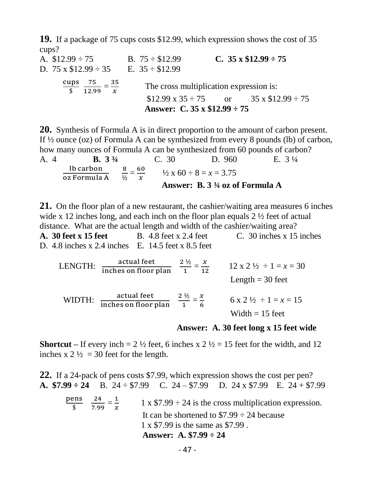**19.** If a package of 75 cups costs \$12.99, which expression shows the cost of 35 cups?

A.  $$12.99 \div 75$  B.  $75 \div $12.99$  C.  $35 \times $12.99 \div 75$ D.  $75 \times \$12.99 \div 35$  E.  $35 \div \$12.99$ cups  $\frac{ips}{\$} \frac{75}{12.9}$  $\frac{75}{12.99} = \frac{35}{x}$  $\mathcal{X}$  The cross multiplication expression is:  $$12.99 \times 35 \div 75$  or  $35 \times $12.99 \div 75$  **Answer: C. 35 x \$12.99 ÷ 75**

**20.** Synthesis of Formula A is in direct proportion to the amount of carbon present. If ½ ounce (oz) of Formula A can be synthesized from every 8 pounds (lb) of carbon, how many ounces of Formula A can be synthesized from 60 pounds of carbon? A. 4 **B. 3 ¾** C. 30 D. 960 E. 3 ¼ lb carbon  $\frac{16 \text{ carbon}}{26 \text{Formula A}}$   $\frac{8}{\frac{1}{2}}$  $\frac{8}{\frac{1}{2}} = \frac{60}{x}$  $\frac{60}{x}$   $\frac{1}{2}$  x 60 ÷ 8 = x = 3.75 **Answer: B. 3 ¾ oz of Formula A** 

**21.** On the floor plan of a new restaurant, the cashier/waiting area measures 6 inches wide x 12 inches long, and each inch on the floor plan equals 2  $\frac{1}{2}$  feet of actual distance. What are the actual length and width of the cashier/waiting area?

**A. 30 feet x 15 feet** B. 4.8 feet x 2.4 feet C. 30 inches x 15 inches D. 4.8 inches x 2.4 inches E. 14.5 feet x 8.5 feet

LENGTH:  $\frac{\text{actual feet}}{\text{inches on floor plan}} \frac{2\frac{1}{2}}{1}$  $\frac{\frac{1}{2}}{1} = \frac{x}{12}$  $\frac{x}{12}$  12 x 2 ½ ÷ 1 = x = 30 Length  $=$  30 feet WIDTH:  $\frac{\text{actual feet}}{\text{inches on floor plan}} \frac{2\frac{1}{2}}{1}$  $\frac{\frac{1}{2}}{1} = \frac{x}{6}$  $\frac{x}{6}$  6 x 2  $\frac{1}{2}$  ÷ 1 = x = 15 Width  $= 15$  feet

 **Answer: A. 30 feet long x 15 feet wide**

**Shortcut** – If every inch =  $2 \frac{1}{2}$  feet, 6 inches x  $2 \frac{1}{2} = 15$  feet for the width, and 12 inches x  $2\frac{1}{2} = 30$  feet for the length.

**22.** If a 24-pack of pens costs \$7.99, which expression shows the cost per pen? **A. \$7.99 ÷ 24** B. 24 ÷ \$7.99 C. 24 – \$7.99 D. 24 x \$7.99 E. 24 + \$7.99

pens  $\frac{\text{ens}}{\$}$   $\frac{24}{7.99}$  $\frac{24}{7.99} = \frac{1}{x}$  $\mathcal{X}$ 1 x  $$7.99 \div 24$  is the cross multiplication expression. It can be shortened to  $$7.99 \div 24$  because 1 x \$7.99 is the same as \$7.99 . **Answer: A. \$7.99 ÷ 24**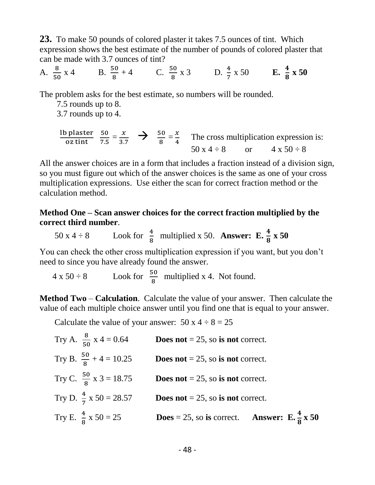**23.** To make 50 pounds of colored plaster it takes 7.5 ounces of tint. Which expression shows the best estimate of the number of pounds of colored plaster that can be made with 3.7 ounces of tint?

A.  $\frac{8}{50}$  x 4  $\frac{8}{50}$  x 4 B.  $\frac{50}{8}$  + 4 C.  $\frac{50}{8}$  x 3 D.  $\frac{4}{7}$  x 50 E.  $\frac{4}{8}$  x 50

The problem asks for the best estimate, so numbers will be rounded.

- 7.5 rounds up to 8.
- 3.7 rounds up to 4.

$$
\frac{\text{lb \, \, \text{plaster}}}{\text{oz \, \, \text{tint}}} \quad \frac{50}{7.5} = \frac{x}{3.7} \quad \Rightarrow \quad \frac{50}{8} = \frac{x}{4} \quad \text{The cross multiplication expression is:}
$$
\n
$$
50 \, \text{x} \, 4 \div 8 \quad \text{or} \quad 4 \, \text{x} \, 50 \div 8
$$

All the answer choices are in a form that includes a fraction instead of a division sign, so you must figure out which of the answer choices is the same as one of your cross multiplication expressions. Use either the scan for correct fraction method or the calculation method.

#### **Method One – Scan answer choices for the correct fraction multiplied by the correct third number**.

50 x 4 ÷ 8 Look for  $\frac{4}{8}$  multiplied x 50. **Answer: E.**  $\frac{4}{8}$  x 50

You can check the other cross multiplication expression if you want, but you don't need to since you have already found the answer.

 $4 \times 50 \div 8$  Look for  $\frac{50}{8}$  multiplied x 4. Not found.

**Method Two** – **Calculation**. Calculate the value of your answer. Then calculate the value of each multiple choice answer until you find one that is equal to your answer.

Calculate the value of your answer:  $50 \times 4 \div 8 = 25$ 

Try A. 
$$
\frac{8}{50}
$$
 x 4 = 0.64  
\n $\frac{8}{50}$  x 4 = 0.64  
\n $\frac{50}{8} + 4 = 10.25$   
\n $\frac{50}{8}$  x 3 = 18.75  
\n $\frac{50}{8}$  x 3 = 18.75  
\n $\frac{4}{7}$  x 50 = 28.57  
\n $\frac{4}{5}$  Does not = 25, so is not correct.  
\nTry D.  $\frac{4}{7}$  x 50 = 28.57  
\n $\frac{4}{8}$  Tooes not = 25, so is not correct.  
\n $\frac{4}{8}$  Tooes = 25, so is correct. Answer: E.  $\frac{4}{8}$  x 50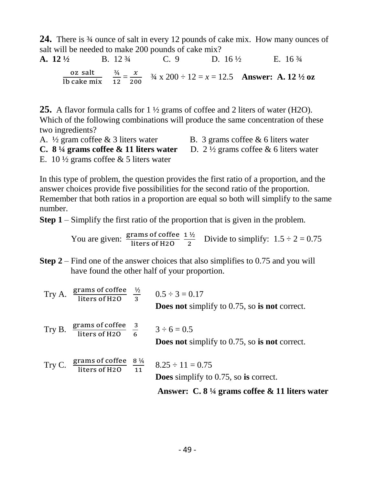**24.** There is ¾ ounce of salt in every 12 pounds of cake mix. How many ounces of salt will be needed to make 200 pounds of cake mix?

**A.** 12 <sup>1</sup>/<sub>2</sub> B. 12 <sup>3</sup>/<sub>4</sub> C. 9 D. 16 <sup>1</sup>/<sub>2</sub> E. 16 <sup>3</sup>/<sub>4</sub> oz salt lb cake mix ¾  $\frac{3/4}{12} = \frac{x}{20}$  $\frac{x}{200}$   $\frac{3}{4}$  x 200 ÷ 12 = x = 12.5 **Answer: A. 12**  $\frac{1}{2}$  oz

**25.** A flavor formula calls for 1 ½ grams of coffee and 2 liters of water (H2O). Which of the following combinations will produce the same concentration of these two ingredients?

A.  $\frac{1}{2}$  gram coffee & 3 liters water B. 3 grams coffee & 6 liters water

**C. 8**  $\frac{1}{4}$  grams coffee & 11 liters water D. 2  $\frac{1}{2}$  grams coffee & 6 liters water

E. 10  $\frac{1}{2}$  grams coffee & 5 liters water

In this type of problem, the question provides the first ratio of a proportion, and the answer choices provide five possibilities for the second ratio of the proportion. Remember that both ratios in a proportion are equal so both will simplify to the same number.

**Step 1** – Simplify the first ratio of the proportion that is given in the problem.

You are given:  $\frac{\text{grams of coffee}}{\text{liters of H2O}} \frac{1\frac{1}{2}}{2}$  $\frac{1}{2}$  Divide to simplify:  $1.5 \div 2 = 0.75$ 

**Step 2** – Find one of the answer choices that also simplifies to 0.75 and you will have found the other half of your proportion.

| Try C. $\frac{\text{grams of coffee}}{\text{liters of H2O}} \frac{8\frac{1}{4}}{11}$ | $8.25 \div 11 = 0.75$<br><b>Does</b> simplify to $0.75$ , so is correct.<br>Answer: C. $8\frac{1}{4}$ grams coffee & 11 liters water |
|--------------------------------------------------------------------------------------|--------------------------------------------------------------------------------------------------------------------------------------|
|                                                                                      |                                                                                                                                      |
| Try B. $\frac{\text{grams of coffee}}{\text{liters of H2O}} \frac{3}{6}$             | $3 \div 6 = 0.5$<br><b>Does not</b> simplify to 0.75, so is not correct.                                                             |
| Try A. $\frac{\text{grams of coffee}}{\text{liters of H2O}} \frac{1}{2}$             | $0.5 \div 3 = 0.17$<br><b>Does not</b> simplify to $0.75$ , so is not correct.                                                       |